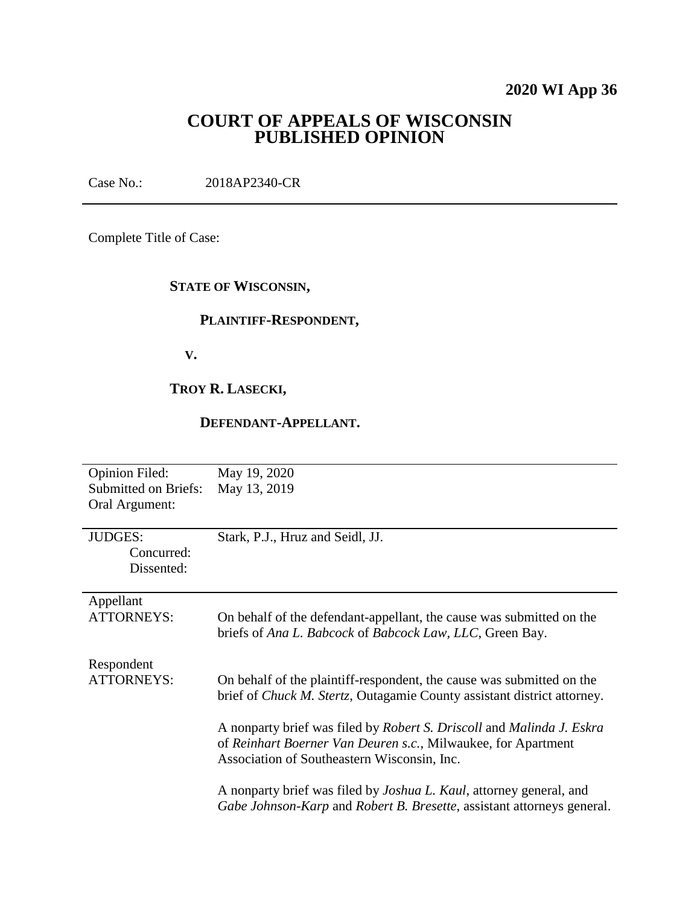# **2020 WI App 36**

# **COURT OF APPEALS OF WISCONSIN PUBLISHED OPINION**

Case No.: 2018AP2340-CR

Complete Title of Case:

# **STATE OF WISCONSIN,**

### **PLAINTIFF-RESPONDENT,**

 **V.**

# **TROY R. LASECKI,**

# **DEFENDANT-APPELLANT.**

| <b>Opinion Filed:</b><br><b>Submitted on Briefs:</b><br>Oral Argument: | May 19, 2020<br>May 13, 2019                                                                                                                                                                                                                                                                                                                      |
|------------------------------------------------------------------------|---------------------------------------------------------------------------------------------------------------------------------------------------------------------------------------------------------------------------------------------------------------------------------------------------------------------------------------------------|
| <b>JUDGES:</b><br>Concurred:<br>Dissented:                             | Stark, P.J., Hruz and Seidl, JJ.                                                                                                                                                                                                                                                                                                                  |
| Appellant<br><b>ATTORNEYS:</b>                                         | On behalf of the defendant-appellant, the cause was submitted on the<br>briefs of Ana L. Babcock of Babcock Law, LLC, Green Bay.                                                                                                                                                                                                                  |
| Respondent<br><b>ATTORNEYS:</b>                                        | On behalf of the plaintiff-respondent, the cause was submitted on the<br>brief of <i>Chuck M. Stertz</i> , Outagamie County assistant district attorney.<br>A nonparty brief was filed by Robert S. Driscoll and Malinda J. Eskra<br>of Reinhart Boerner Van Deuren s.c., Milwaukee, for Apartment<br>Association of Southeastern Wisconsin, Inc. |
|                                                                        | A nonparty brief was filed by <i>Joshua L. Kaul</i> , attorney general, and<br>Gabe Johnson-Karp and Robert B. Bresette, assistant attorneys general.                                                                                                                                                                                             |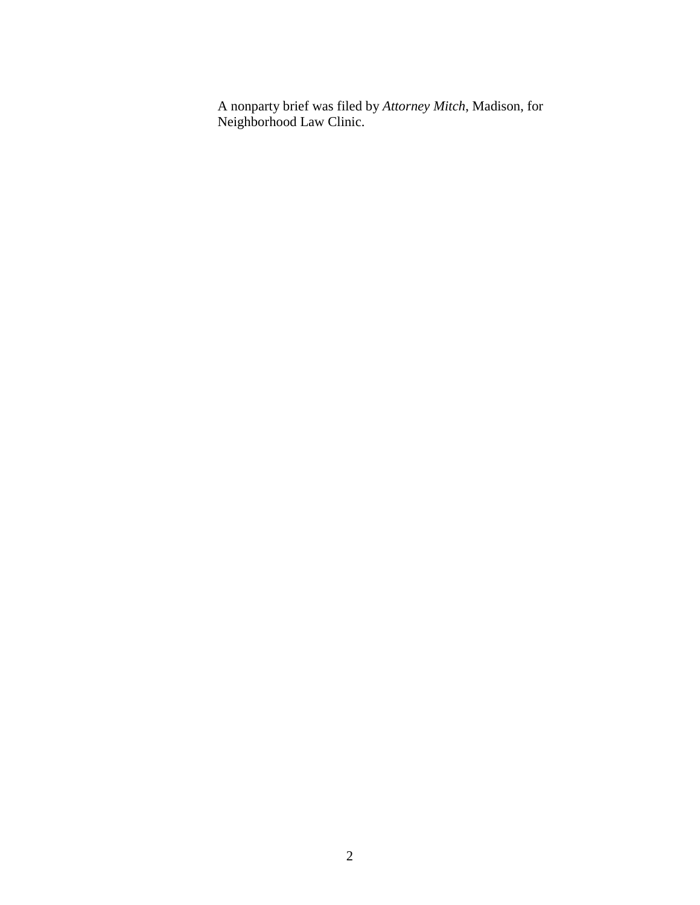A nonparty brief was filed by *Attorney Mitch*, Madison, for Neighborhood Law Clinic.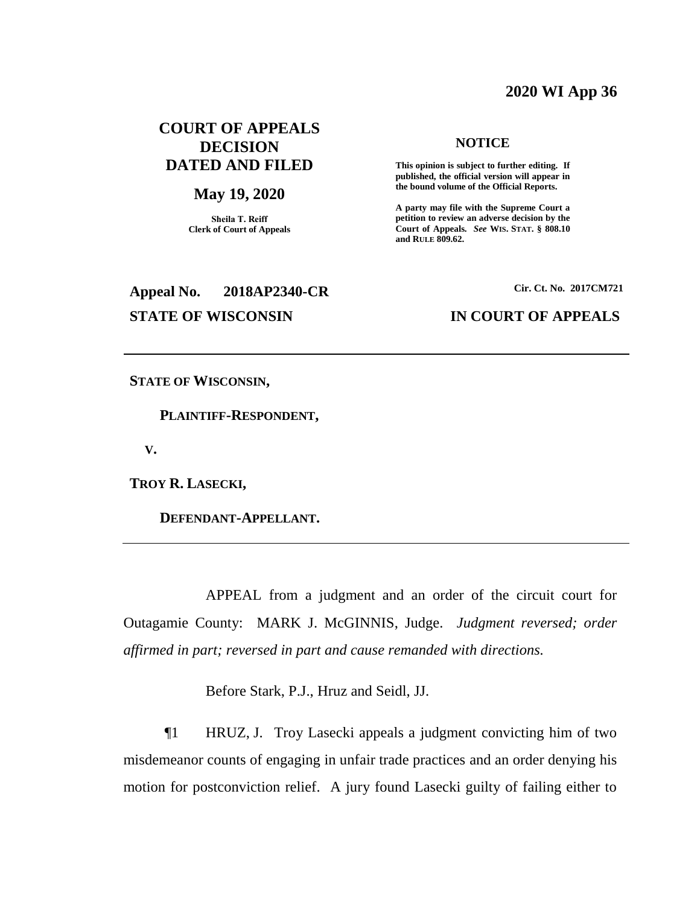#### **2020 WI App 36**

# **COURT OF APPEALS DECISION DATED AND FILED**

#### **May 19, 2020**

**Sheila T. Reiff Clerk of Court of Appeals**

# **Appeal No. 2018AP2340-CR Cir. Ct. No. 2017CM721**

#### **NOTICE**

**This opinion is subject to further editing. If published, the official version will appear in the bound volume of the Official Reports.** 

**A party may file with the Supreme Court a petition to review an adverse decision by the Court of Appeals.** *See* **WIS. STAT. § 808.10 and RULE 809.62.** 

#### **STATE OF WISCONSIN IN COURT OF APPEALS**

**STATE OF WISCONSIN,**

 **PLAINTIFF-RESPONDENT,**

 **V.**

**TROY R. LASECKI,**

 **DEFENDANT-APPELLANT.**

APPEAL from a judgment and an order of the circuit court for Outagamie County: MARK J. McGINNIS, Judge. *Judgment reversed; order affirmed in part; reversed in part and cause remanded with directions.*

Before Stark, P.J., Hruz and Seidl, JJ.

¶1 HRUZ, J. Troy Lasecki appeals a judgment convicting him of two misdemeanor counts of engaging in unfair trade practices and an order denying his motion for postconviction relief. A jury found Lasecki guilty of failing either to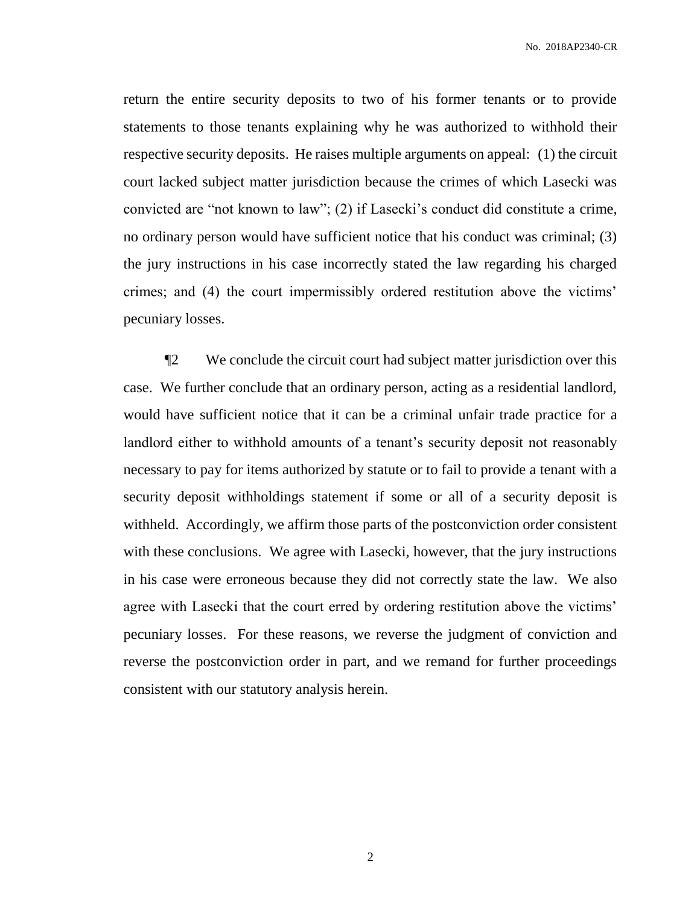return the entire security deposits to two of his former tenants or to provide statements to those tenants explaining why he was authorized to withhold their respective security deposits. He raises multiple arguments on appeal: (1) the circuit court lacked subject matter jurisdiction because the crimes of which Lasecki was convicted are "not known to law"; (2) if Lasecki's conduct did constitute a crime, no ordinary person would have sufficient notice that his conduct was criminal; (3) the jury instructions in his case incorrectly stated the law regarding his charged crimes; and (4) the court impermissibly ordered restitution above the victims' pecuniary losses.

¶2 We conclude the circuit court had subject matter jurisdiction over this case. We further conclude that an ordinary person, acting as a residential landlord, would have sufficient notice that it can be a criminal unfair trade practice for a landlord either to withhold amounts of a tenant's security deposit not reasonably necessary to pay for items authorized by statute or to fail to provide a tenant with a security deposit withholdings statement if some or all of a security deposit is withheld. Accordingly, we affirm those parts of the postconviction order consistent with these conclusions. We agree with Lasecki, however, that the jury instructions in his case were erroneous because they did not correctly state the law. We also agree with Lasecki that the court erred by ordering restitution above the victims' pecuniary losses. For these reasons, we reverse the judgment of conviction and reverse the postconviction order in part, and we remand for further proceedings consistent with our statutory analysis herein.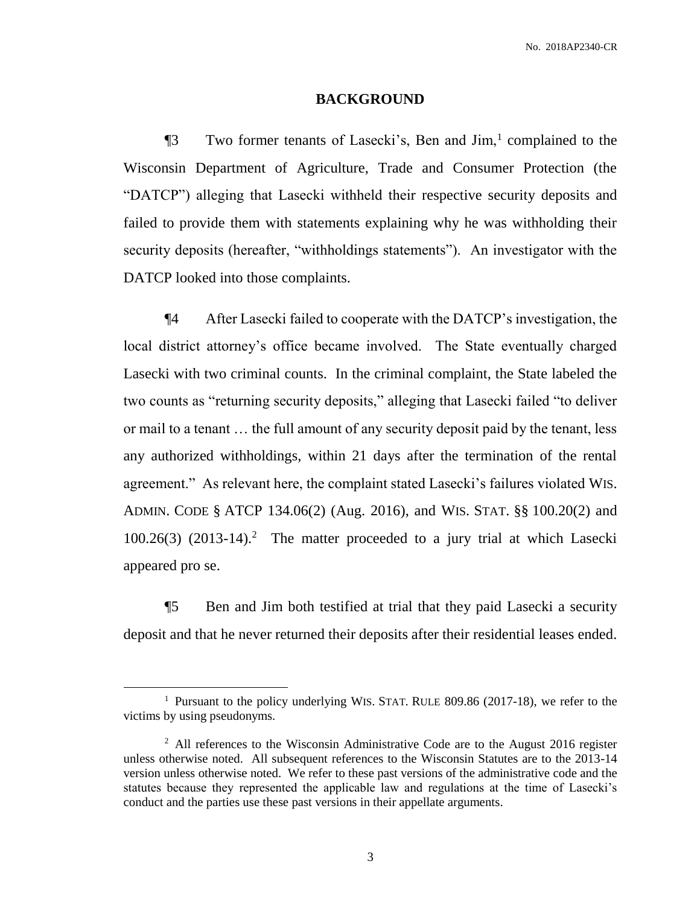#### **BACKGROUND**

**Two former tenants of Lasecki's, Ben and Jim,**<sup>1</sup> complained to the Wisconsin Department of Agriculture, Trade and Consumer Protection (the "DATCP") alleging that Lasecki withheld their respective security deposits and failed to provide them with statements explaining why he was withholding their security deposits (hereafter, "withholdings statements"). An investigator with the DATCP looked into those complaints.

¶4 After Lasecki failed to cooperate with the DATCP's investigation, the local district attorney's office became involved. The State eventually charged Lasecki with two criminal counts. In the criminal complaint, the State labeled the two counts as "returning security deposits," alleging that Lasecki failed "to deliver or mail to a tenant … the full amount of any security deposit paid by the tenant, less any authorized withholdings, within 21 days after the termination of the rental agreement." As relevant here, the complaint stated Lasecki's failures violated WIS. ADMIN. CODE § ATCP 134.06(2) (Aug. 2016), and WIS. STAT. §§ 100.20(2) and 100.26(3) (2013-14).<sup>2</sup> The matter proceeded to a jury trial at which Lasecki appeared pro se.

¶5 Ben and Jim both testified at trial that they paid Lasecki a security deposit and that he never returned their deposits after their residential leases ended.

<sup>&</sup>lt;sup>1</sup> Pursuant to the policy underlying WIS. STAT. RULE 809.86 (2017-18), we refer to the victims by using pseudonyms.

<sup>&</sup>lt;sup>2</sup> All references to the Wisconsin Administrative Code are to the August 2016 register unless otherwise noted. All subsequent references to the Wisconsin Statutes are to the 2013-14 version unless otherwise noted. We refer to these past versions of the administrative code and the statutes because they represented the applicable law and regulations at the time of Lasecki's conduct and the parties use these past versions in their appellate arguments.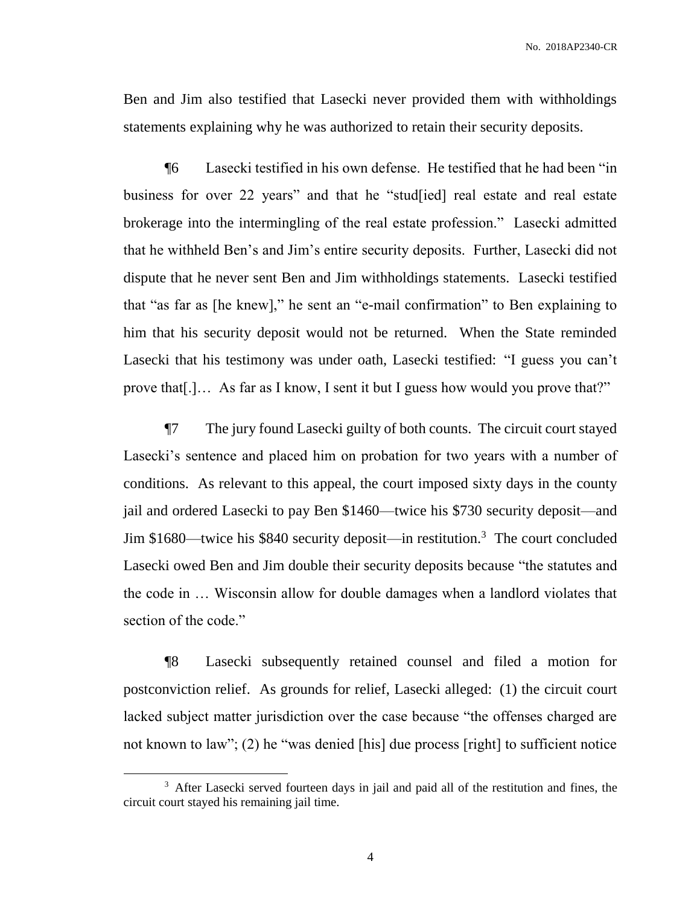Ben and Jim also testified that Lasecki never provided them with withholdings statements explaining why he was authorized to retain their security deposits.

¶6 Lasecki testified in his own defense. He testified that he had been "in business for over 22 years" and that he "stud[ied] real estate and real estate brokerage into the intermingling of the real estate profession." Lasecki admitted that he withheld Ben's and Jim's entire security deposits. Further, Lasecki did not dispute that he never sent Ben and Jim withholdings statements. Lasecki testified that "as far as [he knew]," he sent an "e-mail confirmation" to Ben explaining to him that his security deposit would not be returned. When the State reminded Lasecki that his testimony was under oath, Lasecki testified: "I guess you can't prove that[.]… As far as I know, I sent it but I guess how would you prove that?"

¶7 The jury found Lasecki guilty of both counts. The circuit court stayed Lasecki's sentence and placed him on probation for two years with a number of conditions. As relevant to this appeal, the court imposed sixty days in the county jail and ordered Lasecki to pay Ben \$1460—twice his \$730 security deposit—and Jim \$1680—twice his \$840 security deposit—in restitution.<sup>3</sup> The court concluded Lasecki owed Ben and Jim double their security deposits because "the statutes and the code in … Wisconsin allow for double damages when a landlord violates that section of the code."

¶8 Lasecki subsequently retained counsel and filed a motion for postconviction relief. As grounds for relief, Lasecki alleged: (1) the circuit court lacked subject matter jurisdiction over the case because "the offenses charged are not known to law"; (2) he "was denied [his] due process [right] to sufficient notice

<sup>&</sup>lt;sup>3</sup> After Lasecki served fourteen days in jail and paid all of the restitution and fines, the circuit court stayed his remaining jail time.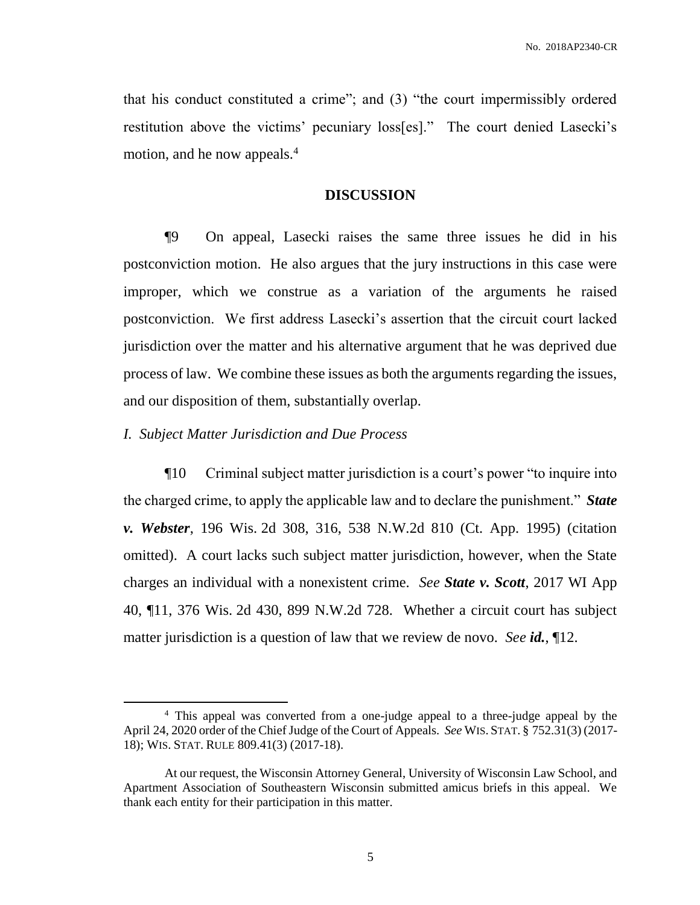that his conduct constituted a crime"; and (3) "the court impermissibly ordered restitution above the victims' pecuniary loss[es]." The court denied Lasecki's motion, and he now appeals.<sup>4</sup>

#### **DISCUSSION**

¶9 On appeal, Lasecki raises the same three issues he did in his postconviction motion. He also argues that the jury instructions in this case were improper, which we construe as a variation of the arguments he raised postconviction. We first address Lasecki's assertion that the circuit court lacked jurisdiction over the matter and his alternative argument that he was deprived due process of law. We combine these issues as both the arguments regarding the issues, and our disposition of them, substantially overlap.

#### *I. Subject Matter Jurisdiction and Due Process*

 $\overline{a}$ 

¶10 Criminal subject matter jurisdiction is a court's power "to inquire into the charged crime, to apply the applicable law and to declare the punishment." *State v. Webster*, 196 Wis. 2d 308, 316, 538 N.W.2d 810 (Ct. App. 1995) (citation omitted). A court lacks such subject matter jurisdiction, however, when the State charges an individual with a nonexistent crime. *See State v. Scott*, 2017 WI App 40, ¶11, 376 Wis. 2d 430, 899 N.W.2d 728. Whether a circuit court has subject matter jurisdiction is a question of law that we review de novo. *See id.*, ¶12.

<sup>&</sup>lt;sup>4</sup> This appeal was converted from a one-judge appeal to a three-judge appeal by the April 24, 2020 order of the Chief Judge of the Court of Appeals. *See* WIS. STAT. § 752.31(3) (2017- 18); WIS. STAT. RULE 809.41(3) (2017-18).

At our request, the Wisconsin Attorney General, University of Wisconsin Law School, and Apartment Association of Southeastern Wisconsin submitted amicus briefs in this appeal. We thank each entity for their participation in this matter.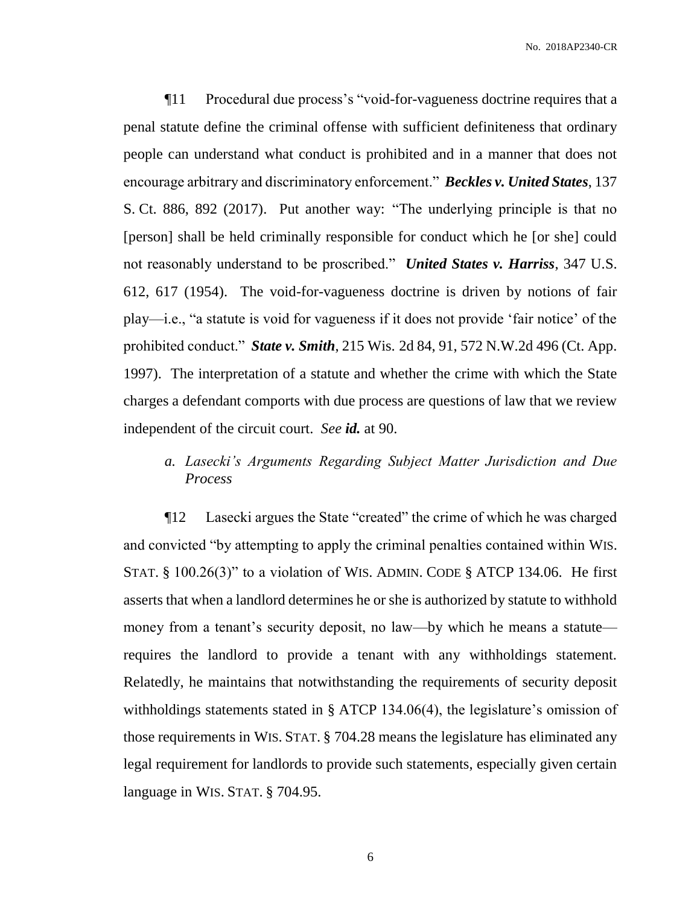¶11 Procedural due process's "void-for-vagueness doctrine requires that a penal statute define the criminal offense with sufficient definiteness that ordinary people can understand what conduct is prohibited and in a manner that does not encourage arbitrary and discriminatory enforcement." *Beckles v. United States*, 137 S. Ct. 886, 892 (2017). Put another way: "The underlying principle is that no [person] shall be held criminally responsible for conduct which he [or she] could not reasonably understand to be proscribed." *United States v. Harriss*, 347 U.S. 612, 617 (1954). The void-for-vagueness doctrine is driven by notions of fair play—i.e., "a statute is void for vagueness if it does not provide 'fair notice' of the prohibited conduct." *State v. Smith*, 215 Wis. 2d 84, 91, 572 N.W.2d 496 (Ct. App. 1997). The interpretation of a statute and whether the crime with which the State charges a defendant comports with due process are questions of law that we review independent of the circuit court. *See id.* at 90.

# *a. Lasecki's Arguments Regarding Subject Matter Jurisdiction and Due Process*

¶12 Lasecki argues the State "created" the crime of which he was charged and convicted "by attempting to apply the criminal penalties contained within WIS. STAT.  $\S$  100.26(3)" to a violation of WIS. ADMIN. CODE  $\S$  ATCP 134.06. He first asserts that when a landlord determines he or she is authorized by statute to withhold money from a tenant's security deposit, no law—by which he means a statute requires the landlord to provide a tenant with any withholdings statement. Relatedly, he maintains that notwithstanding the requirements of security deposit withholdings statements stated in § ATCP 134.06(4), the legislature's omission of those requirements in WIS. STAT. § 704.28 means the legislature has eliminated any legal requirement for landlords to provide such statements, especially given certain language in WIS. STAT. § 704.95.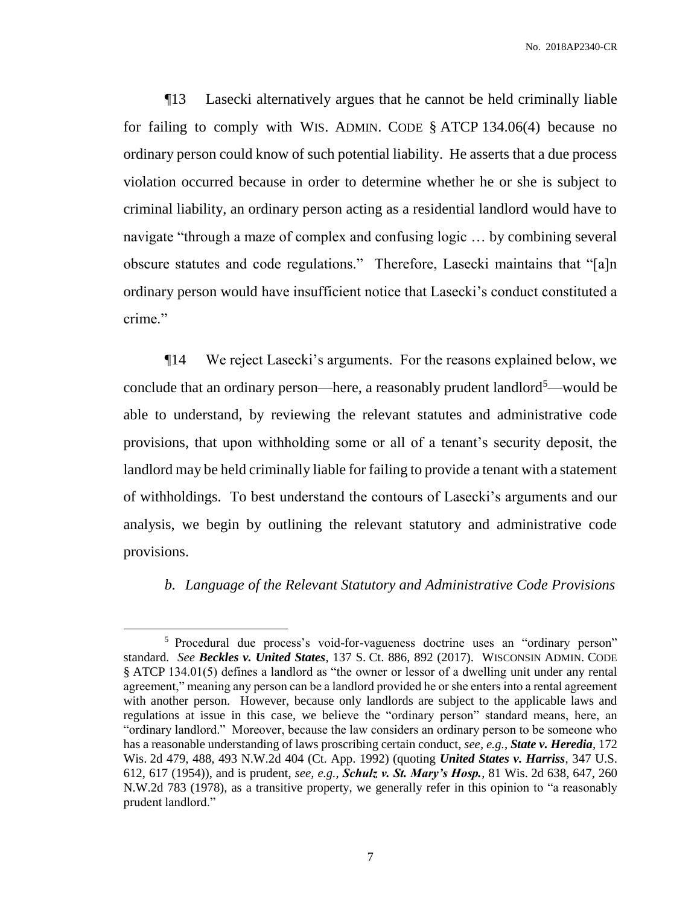¶13 Lasecki alternatively argues that he cannot be held criminally liable for failing to comply with WIS. ADMIN. CODE § ATCP 134.06(4) because no ordinary person could know of such potential liability. He asserts that a due process violation occurred because in order to determine whether he or she is subject to criminal liability, an ordinary person acting as a residential landlord would have to navigate "through a maze of complex and confusing logic … by combining several obscure statutes and code regulations." Therefore, Lasecki maintains that "[a]n ordinary person would have insufficient notice that Lasecki's conduct constituted a crime."

¶14 We reject Lasecki's arguments. For the reasons explained below, we conclude that an ordinary person—here, a reasonably prudent landlord<sup>5</sup>—would be able to understand, by reviewing the relevant statutes and administrative code provisions, that upon withholding some or all of a tenant's security deposit, the landlord may be held criminally liable for failing to provide a tenant with a statement of withholdings. To best understand the contours of Lasecki's arguments and our analysis, we begin by outlining the relevant statutory and administrative code provisions.

#### *b. Language of the Relevant Statutory and Administrative Code Provisions*

<sup>&</sup>lt;sup>5</sup> Procedural due process's void-for-vagueness doctrine uses an "ordinary person" standard. *See Beckles v. United States*, 137 S. Ct. 886, 892 (2017). WISCONSIN ADMIN. CODE § ATCP 134.01(5) defines a landlord as "the owner or lessor of a dwelling unit under any rental agreement," meaning any person can be a landlord provided he or she enters into a rental agreement with another person. However, because only landlords are subject to the applicable laws and regulations at issue in this case, we believe the "ordinary person" standard means, here, an "ordinary landlord." Moreover, because the law considers an ordinary person to be someone who has a reasonable understanding of laws proscribing certain conduct, *see, e.g.*, *State v. Heredia*, 172 Wis. 2d 479, 488, 493 N.W.2d 404 (Ct. App. 1992) (quoting *United States v. Harriss*, 347 U.S. 612, 617 (1954)), and is prudent, *see, e.g.*, *Schulz v. St. Mary's Hosp.*, 81 Wis. 2d 638, 647, 260 N.W.2d 783 (1978), as a transitive property, we generally refer in this opinion to "a reasonably prudent landlord."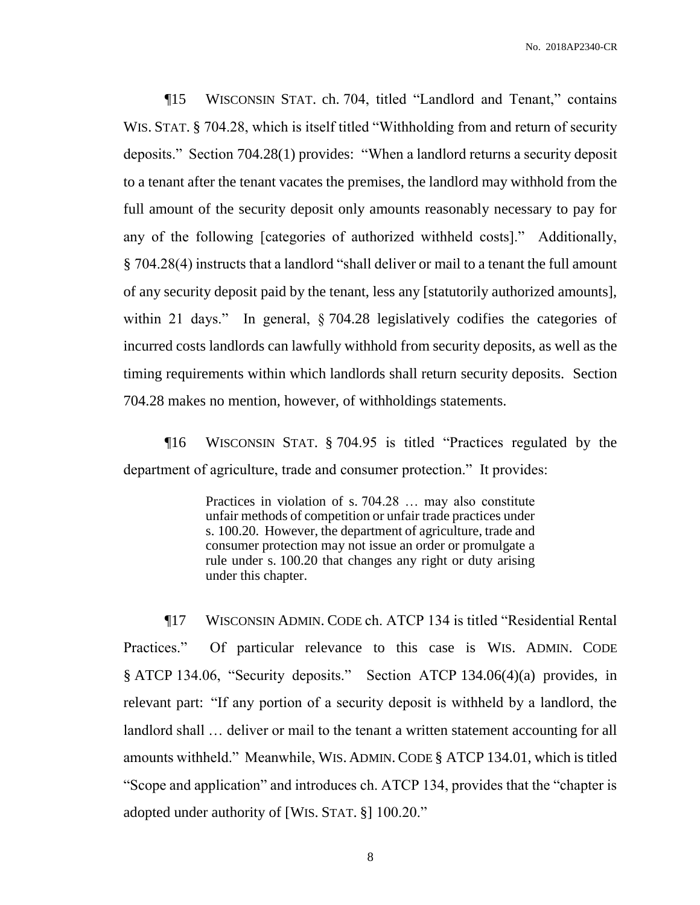¶15 WISCONSIN STAT. ch. 704, titled "Landlord and Tenant," contains WIS. STAT. § 704.28, which is itself titled "Withholding from and return of security deposits." Section 704.28(1) provides: "When a landlord returns a security deposit to a tenant after the tenant vacates the premises, the landlord may withhold from the full amount of the security deposit only amounts reasonably necessary to pay for any of the following [categories of authorized withheld costs]." Additionally, § 704.28(4) instructs that a landlord "shall deliver or mail to a tenant the full amount of any security deposit paid by the tenant, less any [statutorily authorized amounts], within 21 days." In general, § 704.28 legislatively codifies the categories of incurred costs landlords can lawfully withhold from security deposits, as well as the timing requirements within which landlords shall return security deposits. Section 704.28 makes no mention, however, of withholdings statements.

¶16 WISCONSIN STAT. § 704.95 is titled "Practices regulated by the department of agriculture, trade and consumer protection." It provides:

> Practices in violation of s. 704.28 … may also constitute unfair methods of competition or unfair trade practices under s. 100.20. However, the department of agriculture, trade and consumer protection may not issue an order or promulgate a rule under s. 100.20 that changes any right or duty arising under this chapter.

¶17 WISCONSIN ADMIN. CODE ch. ATCP 134 is titled "Residential Rental Practices." Of particular relevance to this case is WIS. ADMIN. CODE § ATCP 134.06, "Security deposits." Section ATCP 134.06(4)(a) provides, in relevant part: "If any portion of a security deposit is withheld by a landlord, the landlord shall … deliver or mail to the tenant a written statement accounting for all amounts withheld." Meanwhile, WIS. ADMIN.CODE § ATCP 134.01, which is titled "Scope and application" and introduces ch. ATCP 134, provides that the "chapter is adopted under authority of [WIS. STAT. §] 100.20."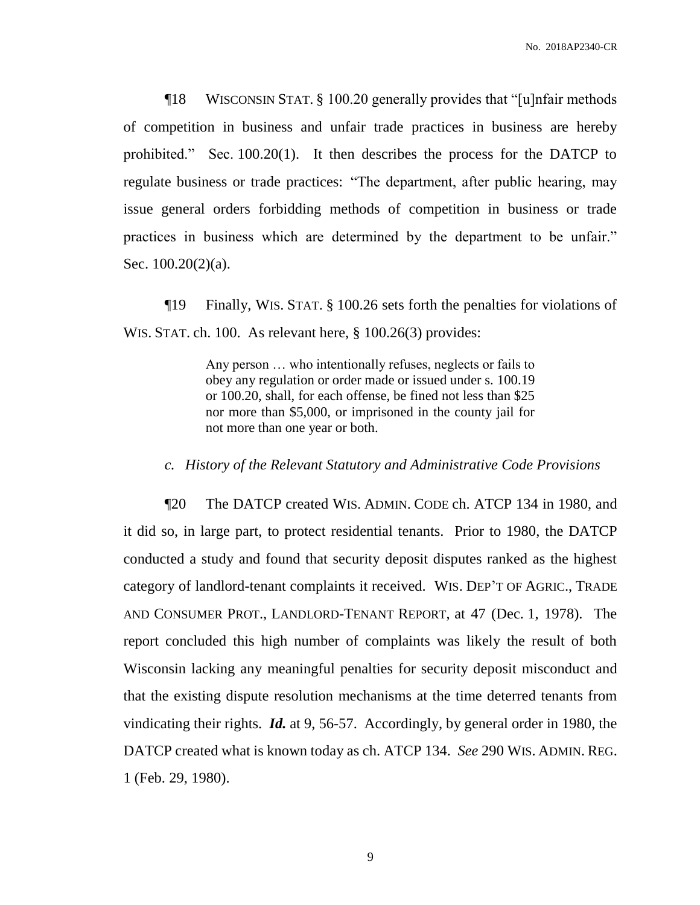¶18 WISCONSIN STAT. § 100.20 generally provides that "[u]nfair methods of competition in business and unfair trade practices in business are hereby prohibited." Sec. 100.20(1). It then describes the process for the DATCP to regulate business or trade practices: "The department, after public hearing, may issue general orders forbidding methods of competition in business or trade practices in business which are determined by the department to be unfair." Sec. 100.20(2)(a).

¶19 Finally, WIS. STAT. § 100.26 sets forth the penalties for violations of WIS. STAT. ch. 100. As relevant here, § 100.26(3) provides:

> Any person … who intentionally refuses, neglects or fails to obey any regulation or order made or issued under s. 100.19 or 100.20, shall, for each offense, be fined not less than \$25 nor more than \$5,000, or imprisoned in the county jail for not more than one year or both.

#### *c. History of the Relevant Statutory and Administrative Code Provisions*

¶20 The DATCP created WIS. ADMIN. CODE ch. ATCP 134 in 1980, and it did so, in large part, to protect residential tenants. Prior to 1980, the DATCP conducted a study and found that security deposit disputes ranked as the highest category of landlord-tenant complaints it received. WIS. DEP'T OF AGRIC., TRADE AND CONSUMER PROT., LANDLORD-TENANT REPORT, at 47 (Dec. 1, 1978). The report concluded this high number of complaints was likely the result of both Wisconsin lacking any meaningful penalties for security deposit misconduct and that the existing dispute resolution mechanisms at the time deterred tenants from vindicating their rights. *Id.* at 9, 56-57. Accordingly, by general order in 1980, the DATCP created what is known today as ch. ATCP 134. *See* 290 WIS. ADMIN. REG. 1 (Feb. 29, 1980).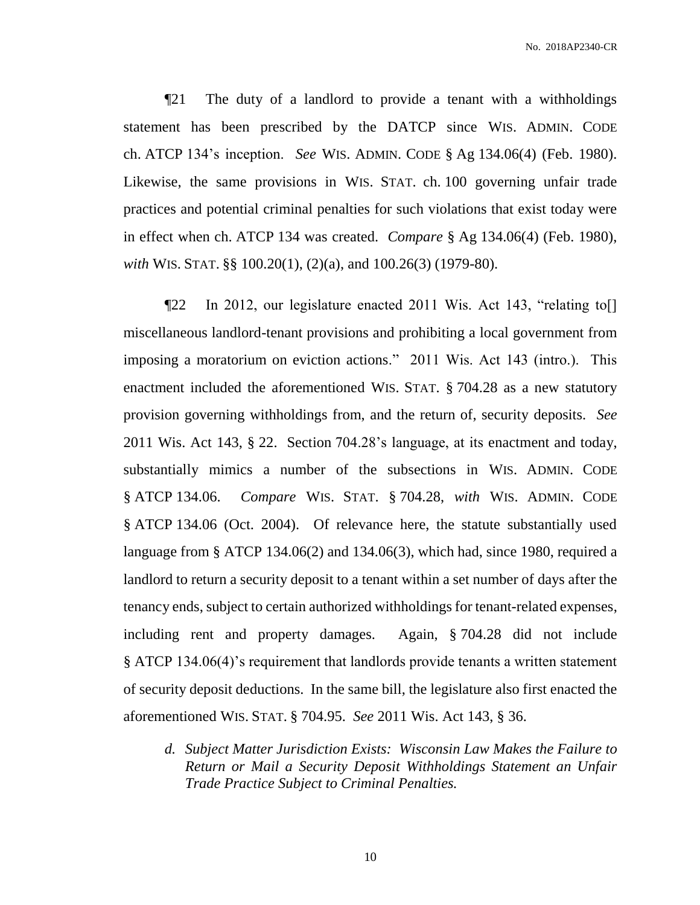¶21 The duty of a landlord to provide a tenant with a withholdings statement has been prescribed by the DATCP since WIS. ADMIN. CODE ch. ATCP 134's inception. *See* WIS. ADMIN. CODE § Ag 134.06(4) (Feb. 1980). Likewise, the same provisions in WIS. STAT. ch. 100 governing unfair trade practices and potential criminal penalties for such violations that exist today were in effect when ch. ATCP 134 was created. *Compare* § Ag 134.06(4) (Feb. 1980), *with* WIS. STAT. §§ 100.20(1), (2)(a), and 100.26(3) (1979-80).

¶22 In 2012, our legislature enacted 2011 Wis. Act 143, "relating to[] miscellaneous landlord-tenant provisions and prohibiting a local government from imposing a moratorium on eviction actions." 2011 Wis. Act 143 (intro.). This enactment included the aforementioned WIS. STAT. § 704.28 as a new statutory provision governing withholdings from, and the return of, security deposits. *See* 2011 Wis. Act 143, § 22. Section 704.28's language, at its enactment and today, substantially mimics a number of the subsections in WIS. ADMIN. CODE § ATCP 134.06. *Compare* WIS. STAT. § 704.28, *with* WIS. ADMIN. CODE § ATCP 134.06 (Oct. 2004). Of relevance here, the statute substantially used language from § ATCP 134.06(2) and 134.06(3), which had, since 1980, required a landlord to return a security deposit to a tenant within a set number of days after the tenancy ends, subject to certain authorized withholdings for tenant-related expenses, including rent and property damages. Again, § 704.28 did not include § ATCP 134.06(4)'s requirement that landlords provide tenants a written statement of security deposit deductions. In the same bill, the legislature also first enacted the aforementioned WIS. STAT. § 704.95. *See* 2011 Wis. Act 143, § 36.

*d. Subject Matter Jurisdiction Exists: Wisconsin Law Makes the Failure to Return or Mail a Security Deposit Withholdings Statement an Unfair Trade Practice Subject to Criminal Penalties.*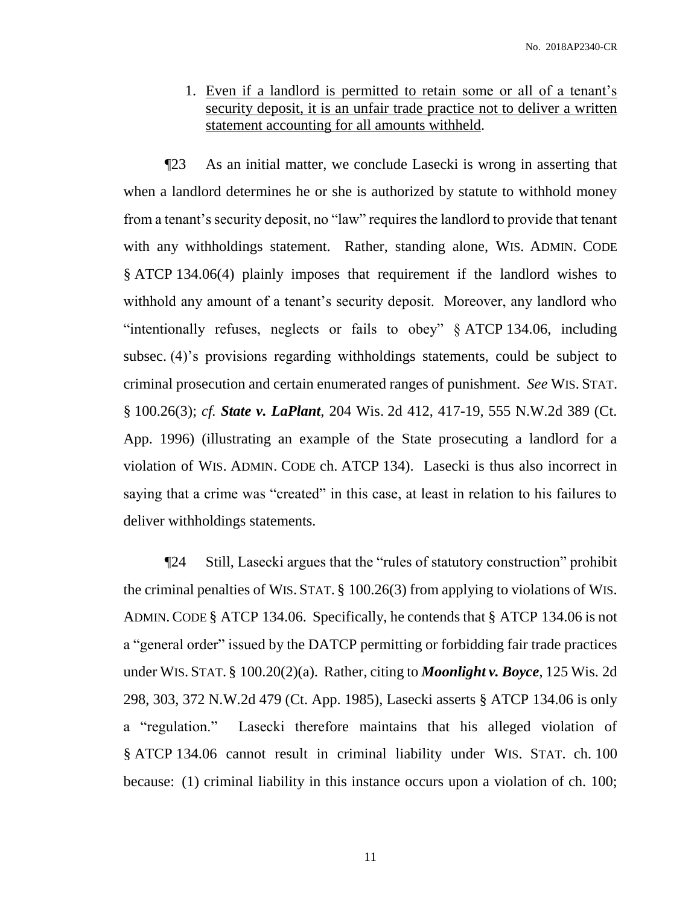1. Even if a landlord is permitted to retain some or all of a tenant's security deposit, it is an unfair trade practice not to deliver a written statement accounting for all amounts withheld.

¶23 As an initial matter, we conclude Lasecki is wrong in asserting that when a landlord determines he or she is authorized by statute to withhold money from a tenant's security deposit, no "law" requires the landlord to provide that tenant with any withholdings statement. Rather, standing alone, WIS. ADMIN. CODE § ATCP 134.06(4) plainly imposes that requirement if the landlord wishes to withhold any amount of a tenant's security deposit. Moreover, any landlord who "intentionally refuses, neglects or fails to obey" § ATCP 134.06, including subsec. (4)'s provisions regarding withholdings statements, could be subject to criminal prosecution and certain enumerated ranges of punishment. *See* WIS. STAT. § 100.26(3); *cf. State v. LaPlant*, 204 Wis. 2d 412, 417-19, 555 N.W.2d 389 (Ct. App. 1996) (illustrating an example of the State prosecuting a landlord for a violation of WIS. ADMIN. CODE ch. ATCP 134). Lasecki is thus also incorrect in saying that a crime was "created" in this case, at least in relation to his failures to deliver withholdings statements.

¶24 Still, Lasecki argues that the "rules of statutory construction" prohibit the criminal penalties of WIS. STAT. § 100.26(3) from applying to violations of WIS. ADMIN.CODE § ATCP 134.06. Specifically, he contends that § ATCP 134.06 is not a "general order" issued by the DATCP permitting or forbidding fair trade practices under WIS. STAT. § 100.20(2)(a). Rather, citing to *Moonlight v. Boyce*, 125 Wis. 2d 298, 303, 372 N.W.2d 479 (Ct. App. 1985), Lasecki asserts § ATCP 134.06 is only a "regulation." Lasecki therefore maintains that his alleged violation of § ATCP 134.06 cannot result in criminal liability under WIS. STAT. ch. 100 because: (1) criminal liability in this instance occurs upon a violation of ch. 100;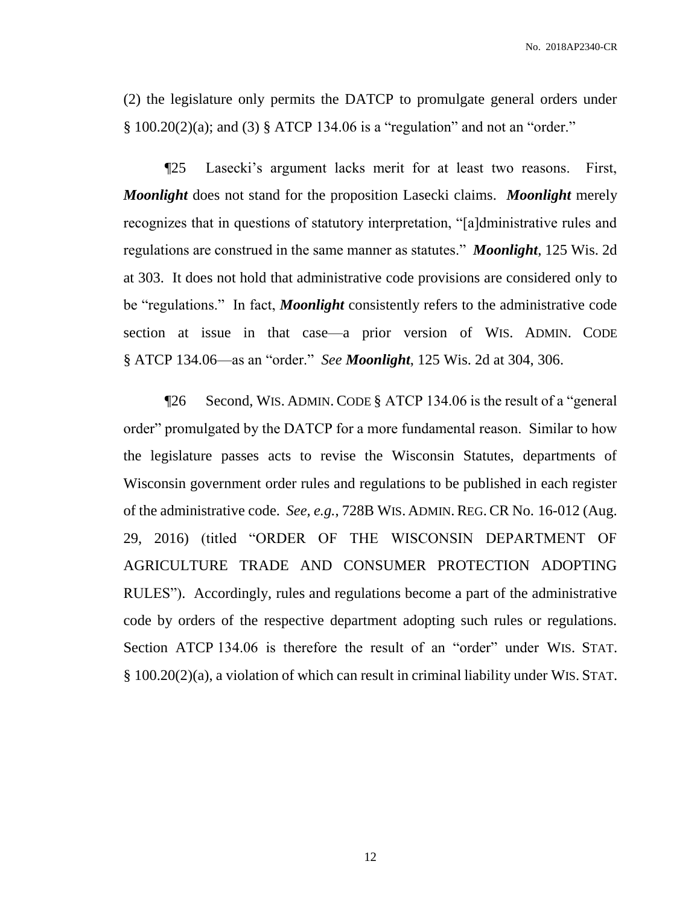(2) the legislature only permits the DATCP to promulgate general orders under § 100.20(2)(a); and (3) § ATCP 134.06 is a "regulation" and not an "order."

¶25 Lasecki's argument lacks merit for at least two reasons. First, *Moonlight* does not stand for the proposition Lasecki claims. *Moonlight* merely recognizes that in questions of statutory interpretation, "[a]dministrative rules and regulations are construed in the same manner as statutes." *Moonlight*, 125 Wis. 2d at 303. It does not hold that administrative code provisions are considered only to be "regulations." In fact, *Moonlight* consistently refers to the administrative code section at issue in that case—a prior version of WIS. ADMIN. CODE § ATCP 134.06—as an "order." *See Moonlight*, 125 Wis. 2d at 304, 306.

¶26 Second, WIS. ADMIN. CODE § ATCP 134.06 is the result of a "general order" promulgated by the DATCP for a more fundamental reason. Similar to how the legislature passes acts to revise the Wisconsin Statutes, departments of Wisconsin government order rules and regulations to be published in each register of the administrative code. *See, e.g.*, 728B WIS. ADMIN.REG.CR No. 16-012 (Aug. 29, 2016) (titled "ORDER OF THE WISCONSIN DEPARTMENT OF AGRICULTURE TRADE AND CONSUMER PROTECTION ADOPTING RULES"). Accordingly, rules and regulations become a part of the administrative code by orders of the respective department adopting such rules or regulations. Section ATCP 134.06 is therefore the result of an "order" under WIS. STAT. § 100.20(2)(a), a violation of which can result in criminal liability under WIS. STAT.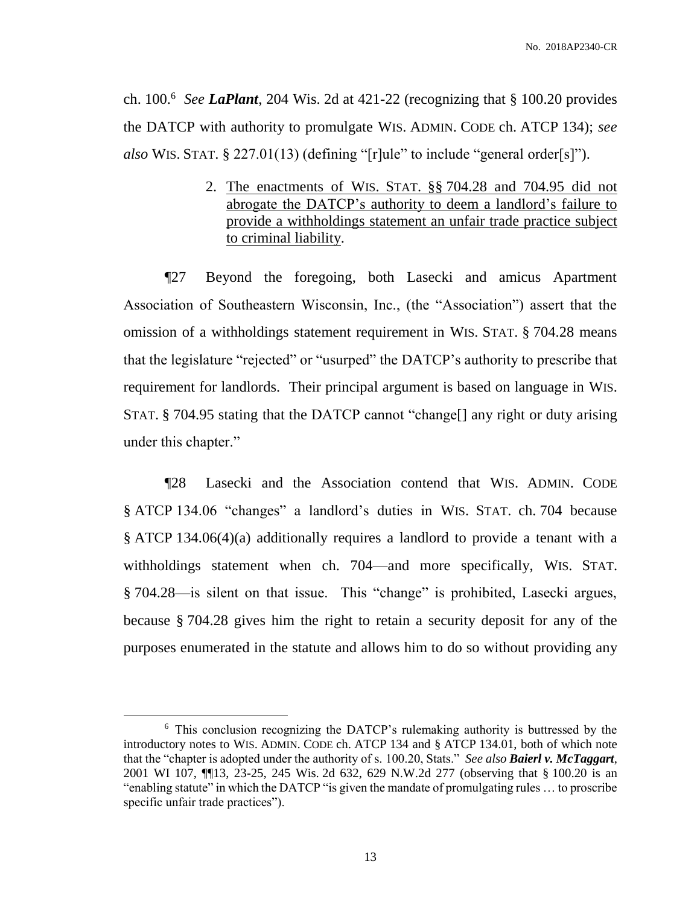ch. 100.<sup>6</sup> *See LaPlant*, 204 Wis. 2d at 421-22 (recognizing that § 100.20 provides the DATCP with authority to promulgate WIS. ADMIN. CODE ch. ATCP 134); *see also* WIS. STAT. § 227.01(13) (defining "[r]ule" to include "general order[s]").

> 2. The enactments of WIS. STAT. §§ 704.28 and 704.95 did not abrogate the DATCP's authority to deem a landlord's failure to provide a withholdings statement an unfair trade practice subject to criminal liability.

¶27 Beyond the foregoing, both Lasecki and amicus Apartment Association of Southeastern Wisconsin, Inc., (the "Association") assert that the omission of a withholdings statement requirement in WIS. STAT. § 704.28 means that the legislature "rejected" or "usurped" the DATCP's authority to prescribe that requirement for landlords. Their principal argument is based on language in WIS. STAT. § 704.95 stating that the DATCP cannot "change[] any right or duty arising under this chapter."

¶28 Lasecki and the Association contend that WIS. ADMIN. CODE § ATCP 134.06 "changes" a landlord's duties in WIS. STAT. ch. 704 because § ATCP 134.06(4)(a) additionally requires a landlord to provide a tenant with a withholdings statement when ch. 704—and more specifically, WIS. STAT. § 704.28—is silent on that issue. This "change" is prohibited, Lasecki argues, because § 704.28 gives him the right to retain a security deposit for any of the purposes enumerated in the statute and allows him to do so without providing any

<sup>&</sup>lt;sup>6</sup> This conclusion recognizing the DATCP's rulemaking authority is buttressed by the introductory notes to WIS. ADMIN. CODE ch. ATCP 134 and § ATCP 134.01, both of which note that the "chapter is adopted under the authority of s. 100.20, Stats." *See also Baierl v. McTaggart*, 2001 WI 107, ¶¶13, 23-25, 245 Wis. 2d 632, 629 N.W.2d 277 (observing that § 100.20 is an "enabling statute" in which the DATCP "is given the mandate of promulgating rules … to proscribe specific unfair trade practices").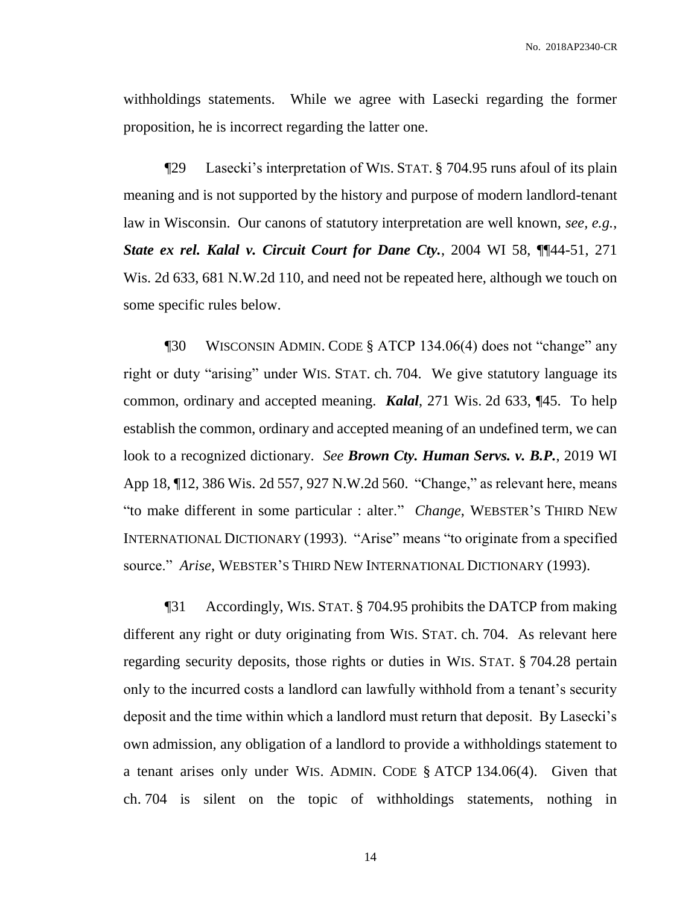withholdings statements. While we agree with Lasecki regarding the former proposition, he is incorrect regarding the latter one.

¶29 Lasecki's interpretation of WIS. STAT. § 704.95 runs afoul of its plain meaning and is not supported by the history and purpose of modern landlord-tenant law in Wisconsin. Our canons of statutory interpretation are well known, *see, e.g.*, *State ex rel. Kalal v. Circuit Court for Dane Cty.*, 2004 WI 58, ¶¶44-51, 271 Wis. 2d 633, 681 N.W.2d 110, and need not be repeated here, although we touch on some specific rules below.

¶30 WISCONSIN ADMIN. CODE § ATCP 134.06(4) does not "change" any right or duty "arising" under WIS. STAT. ch. 704. We give statutory language its common, ordinary and accepted meaning. *Kalal*, 271 Wis. 2d 633, ¶45. To help establish the common, ordinary and accepted meaning of an undefined term, we can look to a recognized dictionary. *See Brown Cty. Human Servs. v. B.P.*, 2019 WI App 18, ¶12, 386 Wis. 2d 557, 927 N.W.2d 560. "Change," as relevant here, means "to make different in some particular : alter." *Change*, WEBSTER'S THIRD NEW INTERNATIONAL DICTIONARY (1993). "Arise" means "to originate from a specified source." *Arise*, WEBSTER'S THIRD NEW INTERNATIONAL DICTIONARY (1993).

¶31 Accordingly, WIS. STAT. § 704.95 prohibits the DATCP from making different any right or duty originating from WIS. STAT. ch. 704. As relevant here regarding security deposits, those rights or duties in WIS. STAT. § 704.28 pertain only to the incurred costs a landlord can lawfully withhold from a tenant's security deposit and the time within which a landlord must return that deposit. By Lasecki's own admission, any obligation of a landlord to provide a withholdings statement to a tenant arises only under WIS. ADMIN. CODE § ATCP 134.06(4). Given that ch. 704 is silent on the topic of withholdings statements, nothing in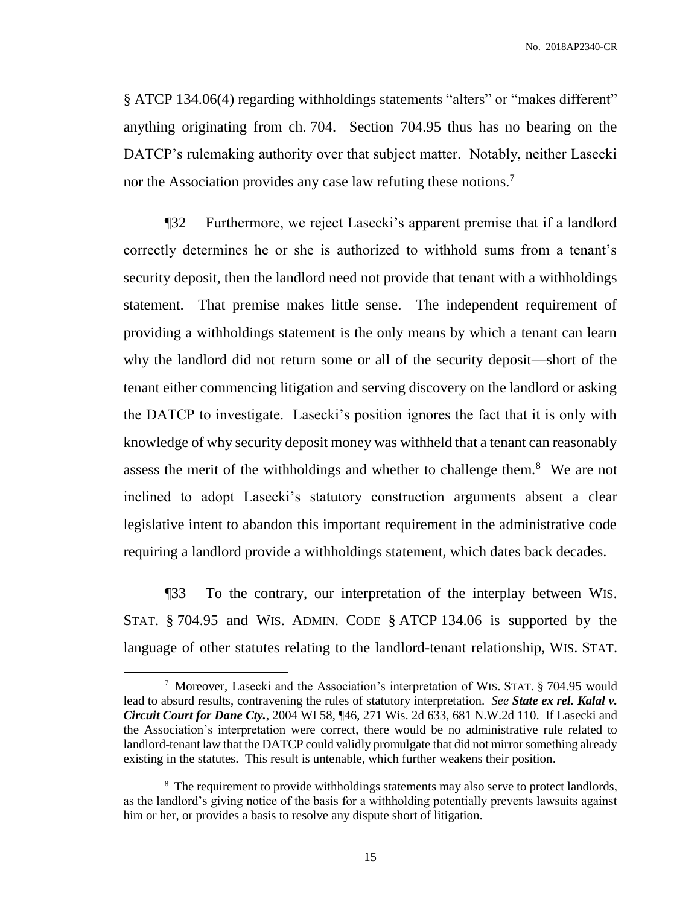§ ATCP 134.06(4) regarding withholdings statements "alters" or "makes different" anything originating from ch. 704. Section 704.95 thus has no bearing on the DATCP's rulemaking authority over that subject matter. Notably, neither Lasecki nor the Association provides any case law refuting these notions.<sup>7</sup>

¶32 Furthermore, we reject Lasecki's apparent premise that if a landlord correctly determines he or she is authorized to withhold sums from a tenant's security deposit, then the landlord need not provide that tenant with a withholdings statement. That premise makes little sense. The independent requirement of providing a withholdings statement is the only means by which a tenant can learn why the landlord did not return some or all of the security deposit—short of the tenant either commencing litigation and serving discovery on the landlord or asking the DATCP to investigate. Lasecki's position ignores the fact that it is only with knowledge of why security deposit money was withheld that a tenant can reasonably assess the merit of the withholdings and whether to challenge them.<sup>8</sup> We are not inclined to adopt Lasecki's statutory construction arguments absent a clear legislative intent to abandon this important requirement in the administrative code requiring a landlord provide a withholdings statement, which dates back decades.

¶33 To the contrary, our interpretation of the interplay between WIS. STAT. § 704.95 and WIS. ADMIN. CODE § ATCP 134.06 is supported by the language of other statutes relating to the landlord-tenant relationship, WIS. STAT.

<sup>7</sup> Moreover, Lasecki and the Association's interpretation of WIS. STAT. § 704.95 would lead to absurd results, contravening the rules of statutory interpretation. *See State ex rel. Kalal v. Circuit Court for Dane Cty.*, 2004 WI 58, ¶46, 271 Wis. 2d 633, 681 N.W.2d 110. If Lasecki and the Association's interpretation were correct, there would be no administrative rule related to landlord-tenant law that the DATCP could validly promulgate that did not mirror something already existing in the statutes. This result is untenable, which further weakens their position.

<sup>&</sup>lt;sup>8</sup> The requirement to provide withholdings statements may also serve to protect landlords, as the landlord's giving notice of the basis for a withholding potentially prevents lawsuits against him or her, or provides a basis to resolve any dispute short of litigation.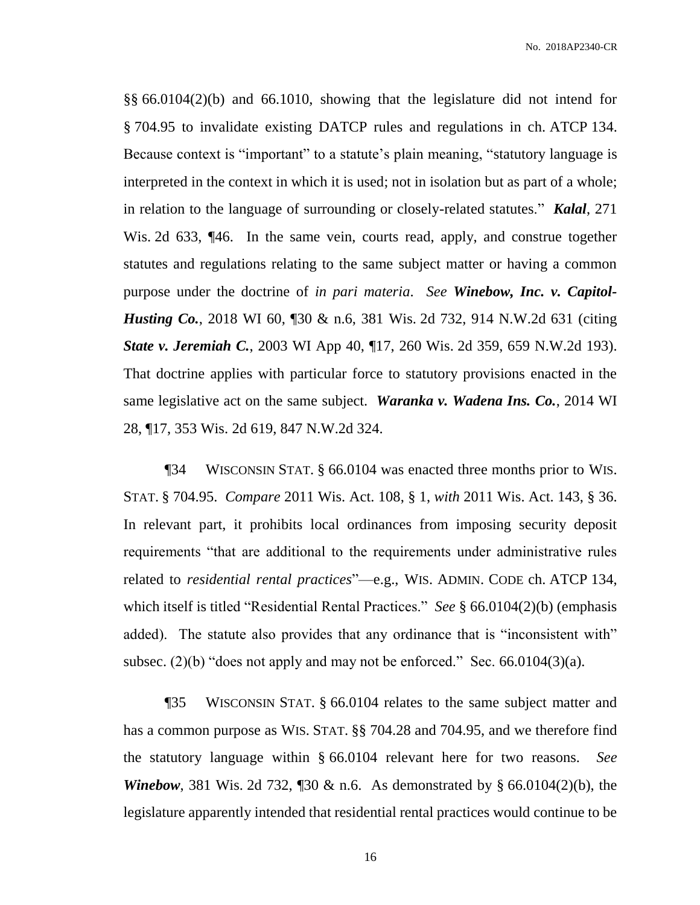§§ 66.0104(2)(b) and 66.1010, showing that the legislature did not intend for § 704.95 to invalidate existing DATCP rules and regulations in ch. ATCP 134. Because context is "important" to a statute's plain meaning, "statutory language is interpreted in the context in which it is used; not in isolation but as part of a whole; in relation to the language of surrounding or closely-related statutes." *Kalal*, 271 Wis. 2d 633, ¶46. In the same vein, courts read, apply, and construe together statutes and regulations relating to the same subject matter or having a common purpose under the doctrine of *in pari materia*. *See Winebow, Inc. v. Capitol-Husting Co.*, 2018 WI 60, 130 & n.6, 381 Wis. 2d 732, 914 N.W.2d 631 (citing *State v. Jeremiah C.*, 2003 WI App 40, ¶17, 260 Wis. 2d 359, 659 N.W.2d 193). That doctrine applies with particular force to statutory provisions enacted in the same legislative act on the same subject. *Waranka v. Wadena Ins. Co.*, 2014 WI 28, ¶17, 353 Wis. 2d 619, 847 N.W.2d 324.

¶34 WISCONSIN STAT. § 66.0104 was enacted three months prior to WIS. STAT. § 704.95. *Compare* 2011 Wis. Act. 108, § 1, *with* 2011 Wis. Act. 143, § 36. In relevant part, it prohibits local ordinances from imposing security deposit requirements "that are additional to the requirements under administrative rules related to *residential rental practices*"—e.g., WIS. ADMIN. CODE ch. ATCP 134, which itself is titled "Residential Rental Practices." *See* § 66.0104(2)(b) (emphasis added). The statute also provides that any ordinance that is "inconsistent with" subsec.  $(2)(b)$  "does not apply and may not be enforced." Sec. 66.0104 $(3)(a)$ .

¶35 WISCONSIN STAT. § 66.0104 relates to the same subject matter and has a common purpose as WIS. STAT. §§ 704.28 and 704.95, and we therefore find the statutory language within § 66.0104 relevant here for two reasons. *See Winebow*, 381 Wis. 2d 732, 130 & n.6. As demonstrated by § 66.0104(2)(b), the legislature apparently intended that residential rental practices would continue to be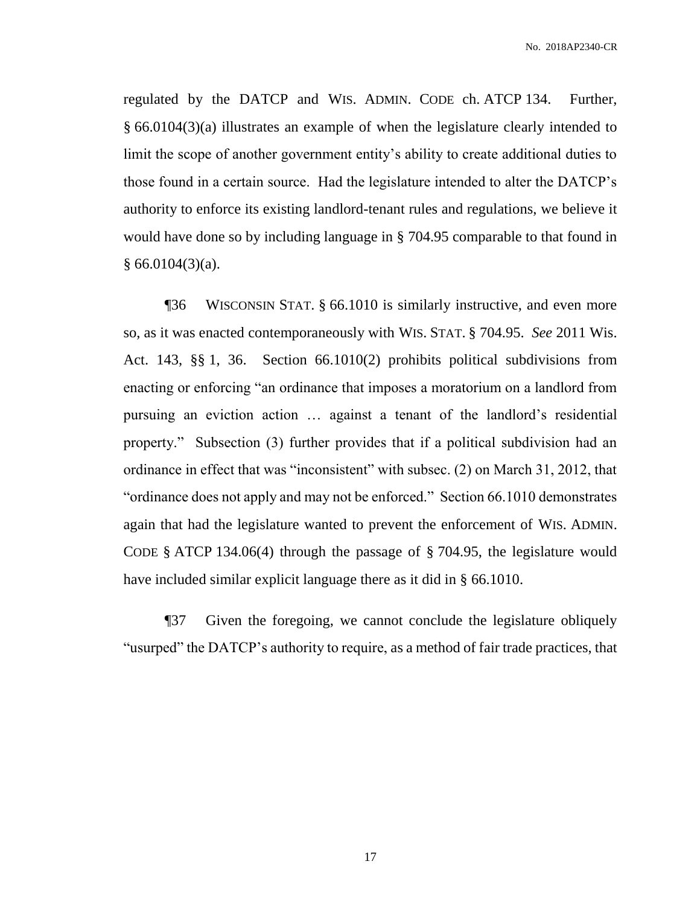regulated by the DATCP and WIS. ADMIN. CODE ch. ATCP 134. Further, § 66.0104(3)(a) illustrates an example of when the legislature clearly intended to limit the scope of another government entity's ability to create additional duties to those found in a certain source. Had the legislature intended to alter the DATCP's authority to enforce its existing landlord-tenant rules and regulations, we believe it would have done so by including language in § 704.95 comparable to that found in  $§ 66.0104(3)(a).$ 

¶36 WISCONSIN STAT. § 66.1010 is similarly instructive, and even more so, as it was enacted contemporaneously with WIS. STAT. § 704.95. *See* 2011 Wis. Act. 143, §§ 1, 36. Section 66.1010(2) prohibits political subdivisions from enacting or enforcing "an ordinance that imposes a moratorium on a landlord from pursuing an eviction action … against a tenant of the landlord's residential property." Subsection (3) further provides that if a political subdivision had an ordinance in effect that was "inconsistent" with subsec. (2) on March 31, 2012, that "ordinance does not apply and may not be enforced." Section 66.1010 demonstrates again that had the legislature wanted to prevent the enforcement of WIS. ADMIN. CODE § ATCP 134.06(4) through the passage of § 704.95, the legislature would have included similar explicit language there as it did in § 66.1010.

¶37 Given the foregoing, we cannot conclude the legislature obliquely "usurped" the DATCP's authority to require, as a method of fair trade practices, that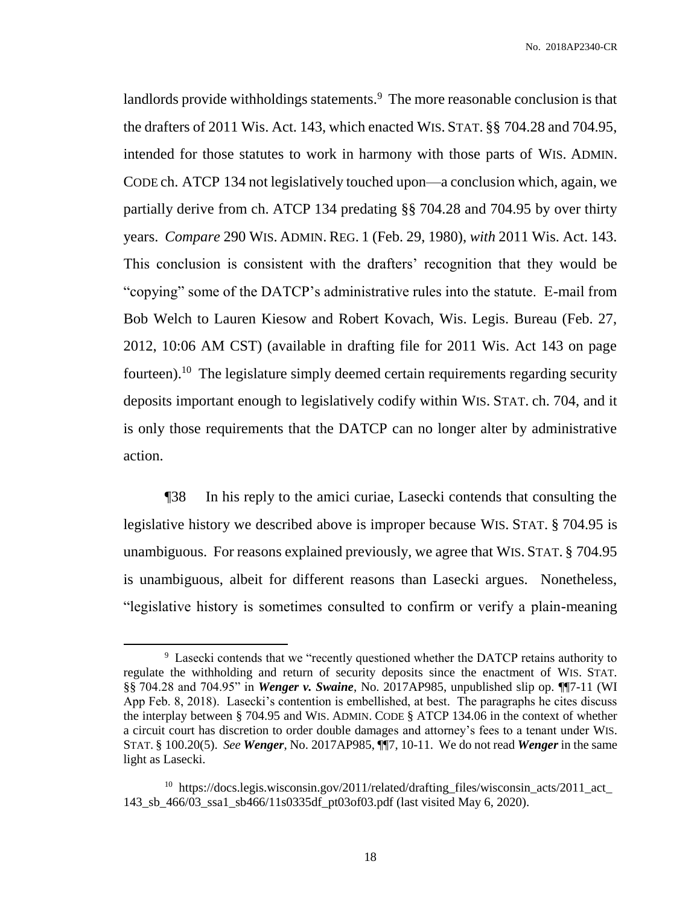landlords provide withholdings statements.<sup>9</sup> The more reasonable conclusion is that the drafters of 2011 Wis. Act. 143, which enacted WIS. STAT. §§ 704.28 and 704.95, intended for those statutes to work in harmony with those parts of WIS. ADMIN. CODE ch. ATCP 134 not legislatively touched upon—a conclusion which, again, we partially derive from ch. ATCP 134 predating §§ 704.28 and 704.95 by over thirty years. *Compare* 290 WIS. ADMIN. REG. 1 (Feb. 29, 1980), *with* 2011 Wis. Act. 143. This conclusion is consistent with the drafters' recognition that they would be "copying" some of the DATCP's administrative rules into the statute. E-mail from Bob Welch to Lauren Kiesow and Robert Kovach, Wis. Legis. Bureau (Feb. 27, 2012, 10:06 AM CST) (available in drafting file for 2011 Wis. Act 143 on page fourteen).<sup>10</sup> The legislature simply deemed certain requirements regarding security deposits important enough to legislatively codify within WIS. STAT. ch. 704, and it is only those requirements that the DATCP can no longer alter by administrative action.

¶38 In his reply to the amici curiae, Lasecki contends that consulting the legislative history we described above is improper because WIS. STAT. § 704.95 is unambiguous. For reasons explained previously, we agree that WIS. STAT. § 704.95 is unambiguous, albeit for different reasons than Lasecki argues. Nonetheless, "legislative history is sometimes consulted to confirm or verify a plain-meaning

<sup>&</sup>lt;sup>9</sup> Lasecki contends that we "recently questioned whether the DATCP retains authority to regulate the withholding and return of security deposits since the enactment of WIS. STAT. §§ 704.28 and 704.95" in *Wenger v. Swaine*, No. 2017AP985, unpublished slip op. ¶¶7-11 (WI App Feb. 8, 2018). Lasecki's contention is embellished, at best. The paragraphs he cites discuss the interplay between § 704.95 and WIS. ADMIN. CODE § ATCP 134.06 in the context of whether a circuit court has discretion to order double damages and attorney's fees to a tenant under WIS. STAT. § 100.20(5). *See Wenger*, No. 2017AP985, ¶¶7, 10-11. We do not read *Wenger* in the same light as Lasecki.

<sup>&</sup>lt;sup>10</sup> https://docs.legis.wisconsin.gov/2011/related/drafting\_files/wisconsin\_acts/2011\_act\_ 143\_sb\_466/03\_ssa1\_sb466/11s0335df\_pt03of03.pdf (last visited May 6, 2020).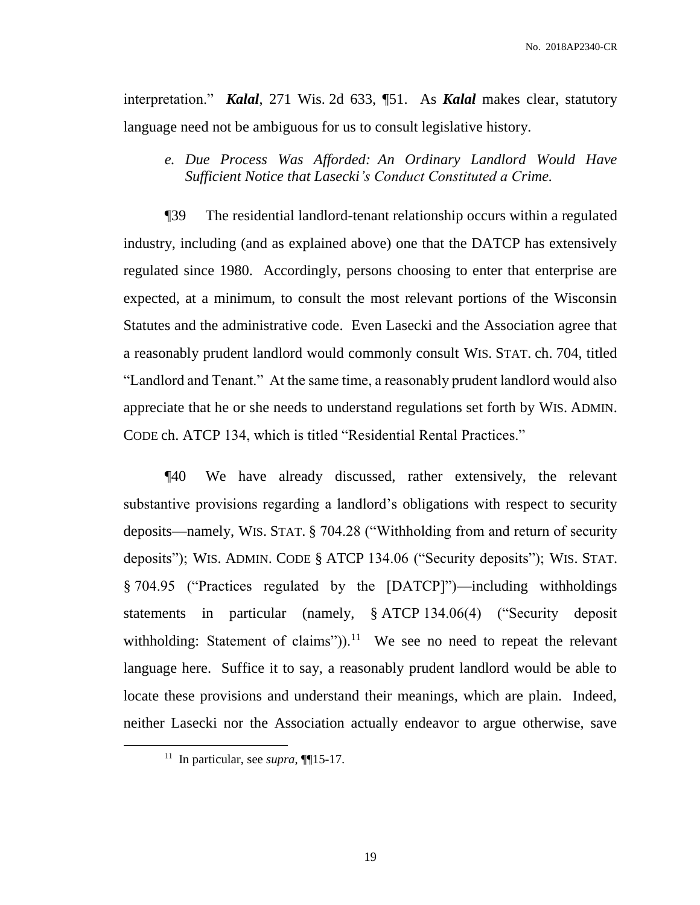interpretation." *Kalal*, 271 Wis. 2d 633, ¶51. As *Kalal* makes clear, statutory language need not be ambiguous for us to consult legislative history.

*e. Due Process Was Afforded: An Ordinary Landlord Would Have Sufficient Notice that Lasecki's Conduct Constituted a Crime.* 

¶39 The residential landlord-tenant relationship occurs within a regulated industry, including (and as explained above) one that the DATCP has extensively regulated since 1980. Accordingly, persons choosing to enter that enterprise are expected, at a minimum, to consult the most relevant portions of the Wisconsin Statutes and the administrative code. Even Lasecki and the Association agree that a reasonably prudent landlord would commonly consult WIS. STAT. ch. 704, titled "Landlord and Tenant." At the same time, a reasonably prudent landlord would also appreciate that he or she needs to understand regulations set forth by WIS. ADMIN. CODE ch. ATCP 134, which is titled "Residential Rental Practices."

¶40 We have already discussed, rather extensively, the relevant substantive provisions regarding a landlord's obligations with respect to security deposits—namely, WIS. STAT. § 704.28 ("Withholding from and return of security deposits"); WIS. ADMIN. CODE § ATCP 134.06 ("Security deposits"); WIS. STAT. § 704.95 ("Practices regulated by the [DATCP]")—including withholdings statements in particular (namely, § ATCP 134.06(4) ("Security deposit withholding: Statement of claims")).<sup>11</sup> We see no need to repeat the relevant language here. Suffice it to say, a reasonably prudent landlord would be able to locate these provisions and understand their meanings, which are plain. Indeed, neither Lasecki nor the Association actually endeavor to argue otherwise, save

<sup>11</sup> In particular, see *supra*, ¶¶15-17.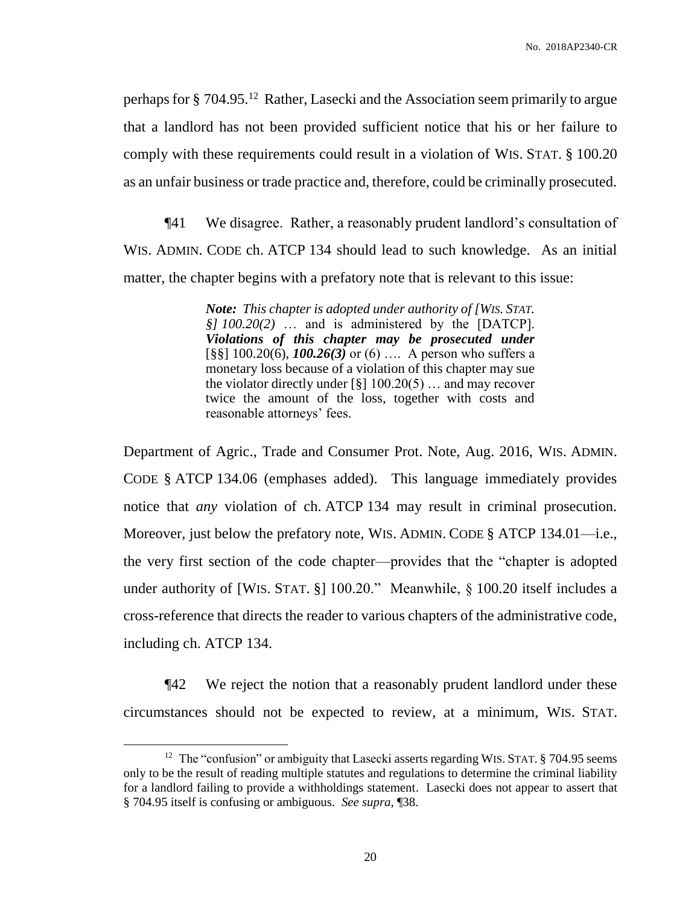perhaps for § 704.95.<sup>12</sup> Rather, Lasecki and the Association seem primarily to argue that a landlord has not been provided sufficient notice that his or her failure to comply with these requirements could result in a violation of WIS. STAT. § 100.20 as an unfair business or trade practice and, therefore, could be criminally prosecuted.

¶41 We disagree. Rather, a reasonably prudent landlord's consultation of WIS. ADMIN. CODE ch. ATCP 134 should lead to such knowledge. As an initial matter, the chapter begins with a prefatory note that is relevant to this issue:

> *Note: This chapter is adopted under authority of [WIS. STAT. §] 100.20(2)* … and is administered by the [DATCP]. *Violations of this chapter may be prosecuted under*  [§§] 100.20(6), *100.26(3)* or (6) …. A person who suffers a monetary loss because of a violation of this chapter may sue the violator directly under  $\lceil \frac{8}{3} \rceil$  100.20(5) ... and may recover twice the amount of the loss, together with costs and reasonable attorneys' fees.

Department of Agric., Trade and Consumer Prot. Note, Aug. 2016, WIS. ADMIN. CODE § ATCP 134.06 (emphases added). This language immediately provides notice that *any* violation of ch. ATCP 134 may result in criminal prosecution. Moreover, just below the prefatory note, WIS. ADMIN. CODE § ATCP 134.01—i.e., the very first section of the code chapter—provides that the "chapter is adopted under authority of [WIS. STAT. §] 100.20." Meanwhile, § 100.20 itself includes a cross-reference that directs the reader to various chapters of the administrative code, including ch. ATCP 134.

¶42 We reject the notion that a reasonably prudent landlord under these circumstances should not be expected to review, at a minimum, WIS. STAT.

 $12$  The "confusion" or ambiguity that Lasecki asserts regarding WIS. STAT. § 704.95 seems only to be the result of reading multiple statutes and regulations to determine the criminal liability for a landlord failing to provide a withholdings statement. Lasecki does not appear to assert that § 704.95 itself is confusing or ambiguous. *See supra*, ¶38.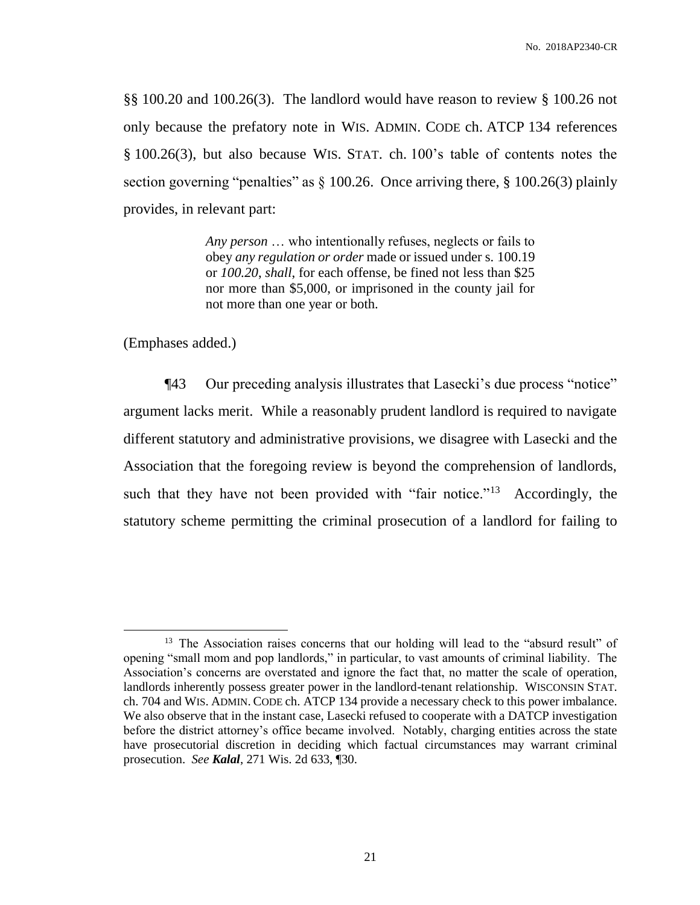§§ 100.20 and 100.26(3). The landlord would have reason to review § 100.26 not only because the prefatory note in WIS. ADMIN. CODE ch. ATCP 134 references § 100.26(3), but also because WIS. STAT. ch. 100's table of contents notes the section governing "penalties" as  $\S 100.26$ . Once arriving there,  $\S 100.26(3)$  plainly provides, in relevant part:

> *Any person* … who intentionally refuses, neglects or fails to obey *any regulation or order* made or issued under s. 100.19 or *100.20*, *shall*, for each offense, be fined not less than \$25 nor more than \$5,000, or imprisoned in the county jail for not more than one year or both.

(Emphases added.)

 $\overline{a}$ 

¶43 Our preceding analysis illustrates that Lasecki's due process "notice" argument lacks merit. While a reasonably prudent landlord is required to navigate different statutory and administrative provisions, we disagree with Lasecki and the Association that the foregoing review is beyond the comprehension of landlords, such that they have not been provided with "fair notice."<sup>13</sup> Accordingly, the statutory scheme permitting the criminal prosecution of a landlord for failing to

<sup>&</sup>lt;sup>13</sup> The Association raises concerns that our holding will lead to the "absurd result" of opening "small mom and pop landlords," in particular, to vast amounts of criminal liability. The Association's concerns are overstated and ignore the fact that, no matter the scale of operation, landlords inherently possess greater power in the landlord-tenant relationship. WISCONSIN STAT. ch. 704 and WIS. ADMIN. CODE ch. ATCP 134 provide a necessary check to this power imbalance. We also observe that in the instant case, Lasecki refused to cooperate with a DATCP investigation before the district attorney's office became involved. Notably, charging entities across the state have prosecutorial discretion in deciding which factual circumstances may warrant criminal prosecution. *See Kalal*, 271 Wis. 2d 633, ¶30.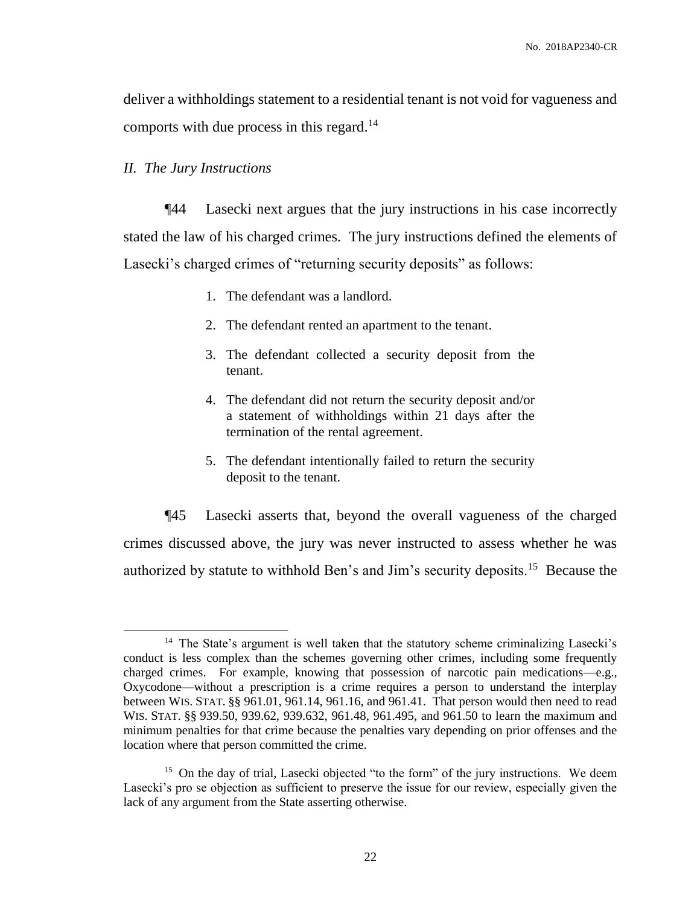deliver a withholdings statement to a residential tenant is not void for vagueness and comports with due process in this regard.<sup>14</sup>

#### *II. The Jury Instructions*

 $\overline{a}$ 

¶44 Lasecki next argues that the jury instructions in his case incorrectly stated the law of his charged crimes. The jury instructions defined the elements of Lasecki's charged crimes of "returning security deposits" as follows:

- 1. The defendant was a landlord.
- 2. The defendant rented an apartment to the tenant.
- 3. The defendant collected a security deposit from the tenant.
- 4. The defendant did not return the security deposit and/or a statement of withholdings within 21 days after the termination of the rental agreement.
- 5. The defendant intentionally failed to return the security deposit to the tenant.

¶45 Lasecki asserts that, beyond the overall vagueness of the charged crimes discussed above, the jury was never instructed to assess whether he was authorized by statute to withhold Ben's and Jim's security deposits.<sup>15</sup> Because the

<sup>&</sup>lt;sup>14</sup> The State's argument is well taken that the statutory scheme criminalizing Lasecki's conduct is less complex than the schemes governing other crimes, including some frequently charged crimes. For example, knowing that possession of narcotic pain medications—e.g., Oxycodone—without a prescription is a crime requires a person to understand the interplay between WIS. STAT. §§ 961.01, 961.14, 961.16, and 961.41. That person would then need to read WIS. STAT. §§ 939.50, 939.62, 939.632, 961.48, 961.495, and 961.50 to learn the maximum and minimum penalties for that crime because the penalties vary depending on prior offenses and the location where that person committed the crime.

<sup>&</sup>lt;sup>15</sup> On the day of trial, Lasecki objected "to the form" of the jury instructions. We deem Lasecki's pro se objection as sufficient to preserve the issue for our review, especially given the lack of any argument from the State asserting otherwise.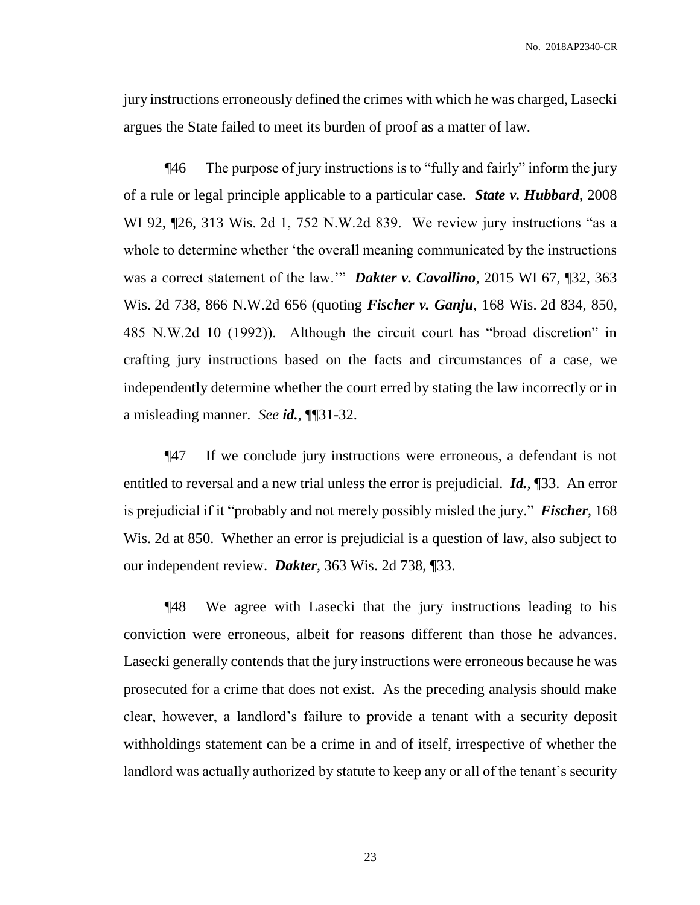jury instructions erroneously defined the crimes with which he was charged, Lasecki argues the State failed to meet its burden of proof as a matter of law.

¶46 The purpose of jury instructions is to "fully and fairly" inform the jury of a rule or legal principle applicable to a particular case. *State v. Hubbard*, 2008 WI 92, ¶26, 313 Wis. 2d 1, 752 N.W.2d 839. We review jury instructions "as a whole to determine whether 'the overall meaning communicated by the instructions was a correct statement of the law.'" *Dakter v. Cavallino*, 2015 WI 67, ¶32, 363 Wis. 2d 738, 866 N.W.2d 656 (quoting *Fischer v. Ganju*, 168 Wis. 2d 834, 850, 485 N.W.2d 10 (1992)). Although the circuit court has "broad discretion" in crafting jury instructions based on the facts and circumstances of a case, we independently determine whether the court erred by stating the law incorrectly or in a misleading manner. *See id.*, ¶¶31-32.

¶47 If we conclude jury instructions were erroneous, a defendant is not entitled to reversal and a new trial unless the error is prejudicial. *Id.*, ¶33. An error is prejudicial if it "probably and not merely possibly misled the jury." *Fischer*, 168 Wis. 2d at 850. Whether an error is prejudicial is a question of law, also subject to our independent review. *Dakter*, 363 Wis. 2d 738, ¶33.

¶48 We agree with Lasecki that the jury instructions leading to his conviction were erroneous, albeit for reasons different than those he advances. Lasecki generally contends that the jury instructions were erroneous because he was prosecuted for a crime that does not exist. As the preceding analysis should make clear, however, a landlord's failure to provide a tenant with a security deposit withholdings statement can be a crime in and of itself, irrespective of whether the landlord was actually authorized by statute to keep any or all of the tenant's security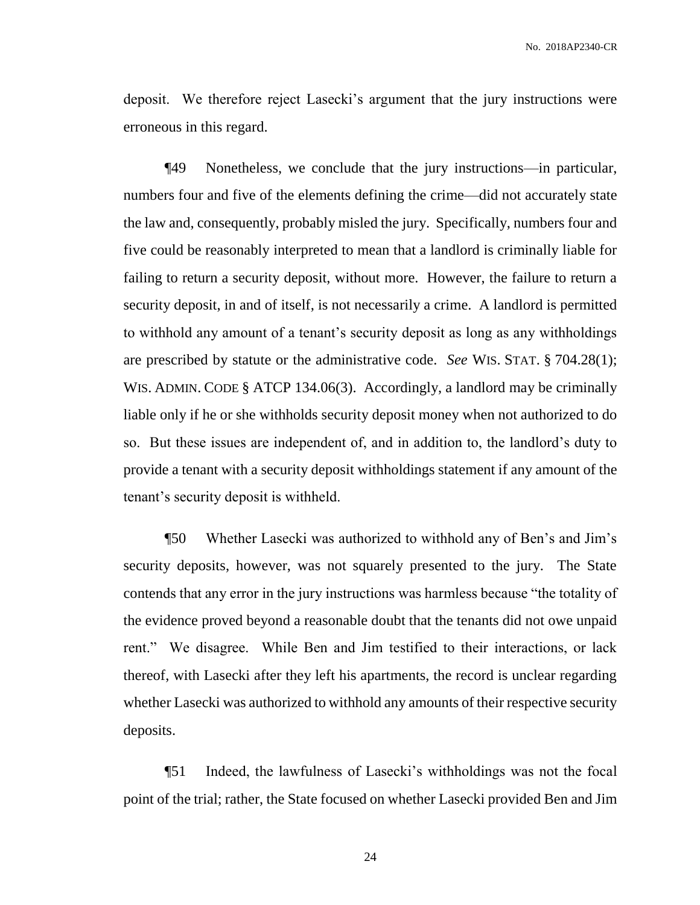deposit. We therefore reject Lasecki's argument that the jury instructions were erroneous in this regard.

¶49 Nonetheless, we conclude that the jury instructions—in particular, numbers four and five of the elements defining the crime—did not accurately state the law and, consequently, probably misled the jury. Specifically, numbers four and five could be reasonably interpreted to mean that a landlord is criminally liable for failing to return a security deposit, without more. However, the failure to return a security deposit, in and of itself, is not necessarily a crime. A landlord is permitted to withhold any amount of a tenant's security deposit as long as any withholdings are prescribed by statute or the administrative code. *See* WIS. STAT. § 704.28(1); WIS. ADMIN. CODE § ATCP 134.06(3). Accordingly, a landlord may be criminally liable only if he or she withholds security deposit money when not authorized to do so. But these issues are independent of, and in addition to, the landlord's duty to provide a tenant with a security deposit withholdings statement if any amount of the tenant's security deposit is withheld.

¶50 Whether Lasecki was authorized to withhold any of Ben's and Jim's security deposits, however, was not squarely presented to the jury. The State contends that any error in the jury instructions was harmless because "the totality of the evidence proved beyond a reasonable doubt that the tenants did not owe unpaid rent." We disagree. While Ben and Jim testified to their interactions, or lack thereof, with Lasecki after they left his apartments, the record is unclear regarding whether Lasecki was authorized to withhold any amounts of their respective security deposits.

¶51 Indeed, the lawfulness of Lasecki's withholdings was not the focal point of the trial; rather, the State focused on whether Lasecki provided Ben and Jim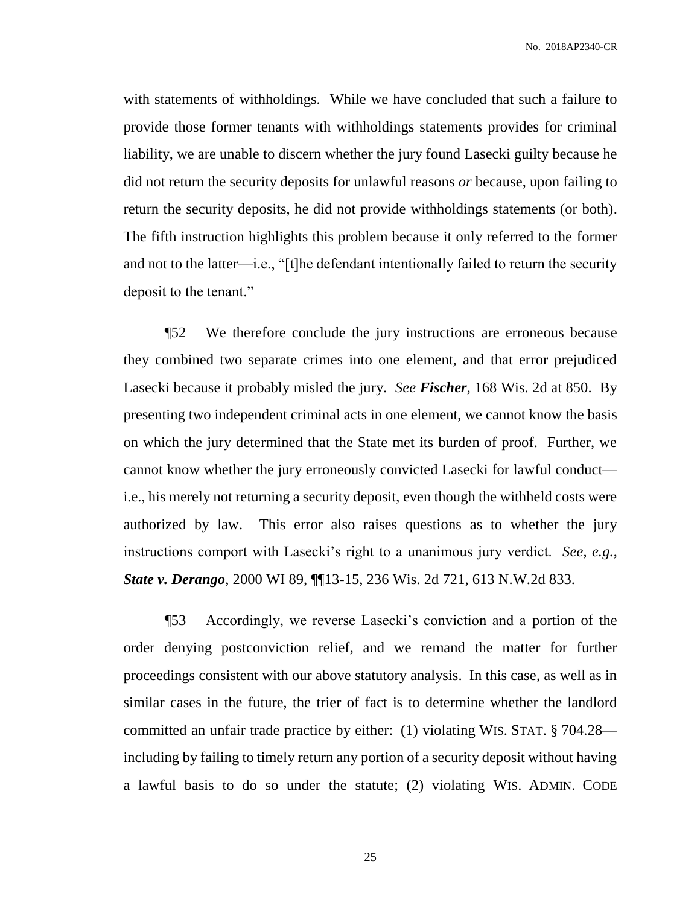with statements of withholdings. While we have concluded that such a failure to provide those former tenants with withholdings statements provides for criminal liability, we are unable to discern whether the jury found Lasecki guilty because he did not return the security deposits for unlawful reasons *or* because, upon failing to return the security deposits, he did not provide withholdings statements (or both). The fifth instruction highlights this problem because it only referred to the former and not to the latter—i.e., "[t]he defendant intentionally failed to return the security deposit to the tenant."

¶52 We therefore conclude the jury instructions are erroneous because they combined two separate crimes into one element, and that error prejudiced Lasecki because it probably misled the jury. *See Fischer*, 168 Wis. 2d at 850. By presenting two independent criminal acts in one element, we cannot know the basis on which the jury determined that the State met its burden of proof. Further, we cannot know whether the jury erroneously convicted Lasecki for lawful conduct i.e., his merely not returning a security deposit, even though the withheld costs were authorized by law. This error also raises questions as to whether the jury instructions comport with Lasecki's right to a unanimous jury verdict. *See, e.g.*, *State v. Derango*, 2000 WI 89, ¶¶13-15, 236 Wis. 2d 721, 613 N.W.2d 833.

¶53 Accordingly, we reverse Lasecki's conviction and a portion of the order denying postconviction relief, and we remand the matter for further proceedings consistent with our above statutory analysis. In this case, as well as in similar cases in the future, the trier of fact is to determine whether the landlord committed an unfair trade practice by either: (1) violating WIS. STAT. § 704.28 including by failing to timely return any portion of a security deposit without having a lawful basis to do so under the statute; (2) violating WIS. ADMIN. CODE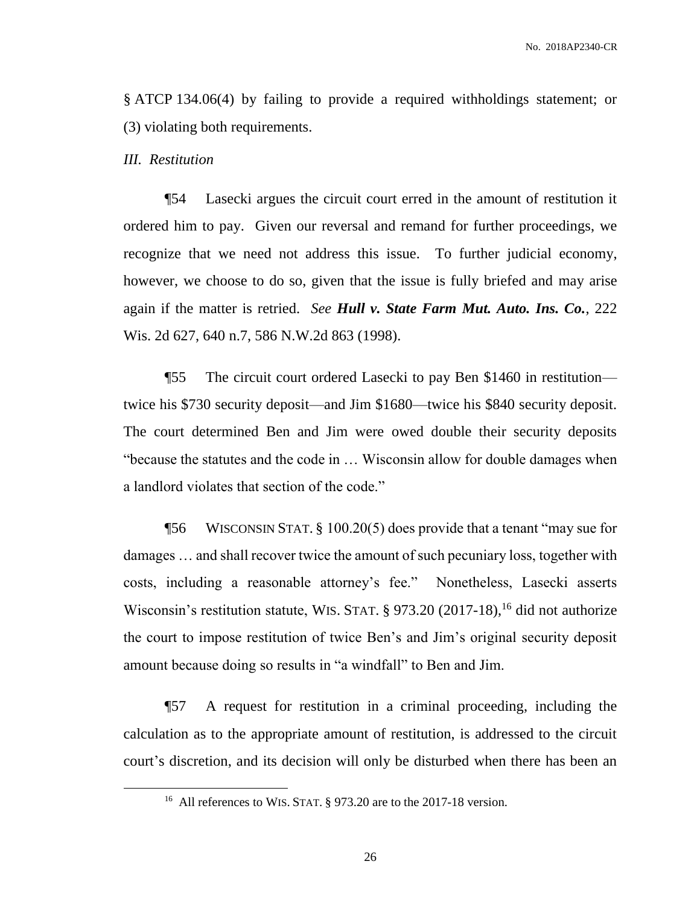§ ATCP 134.06(4) by failing to provide a required withholdings statement; or (3) violating both requirements.

#### *III. Restitution*

 $\overline{a}$ 

¶54 Lasecki argues the circuit court erred in the amount of restitution it ordered him to pay. Given our reversal and remand for further proceedings, we recognize that we need not address this issue. To further judicial economy, however, we choose to do so, given that the issue is fully briefed and may arise again if the matter is retried. *See Hull v. State Farm Mut. Auto. Ins. Co.*, 222 Wis. 2d 627, 640 n.7, 586 N.W.2d 863 (1998).

¶55 The circuit court ordered Lasecki to pay Ben \$1460 in restitution twice his \$730 security deposit—and Jim \$1680—twice his \$840 security deposit. The court determined Ben and Jim were owed double their security deposits "because the statutes and the code in … Wisconsin allow for double damages when a landlord violates that section of the code."

¶56 WISCONSIN STAT. § 100.20(5) does provide that a tenant "may sue for damages … and shall recover twice the amount of such pecuniary loss, together with costs, including a reasonable attorney's fee." Nonetheless, Lasecki asserts Wisconsin's restitution statute, WIS. STAT.  $\S$  973.20 (2017-18), <sup>16</sup> did not authorize the court to impose restitution of twice Ben's and Jim's original security deposit amount because doing so results in "a windfall" to Ben and Jim.

¶57 A request for restitution in a criminal proceeding, including the calculation as to the appropriate amount of restitution, is addressed to the circuit court's discretion, and its decision will only be disturbed when there has been an

<sup>&</sup>lt;sup>16</sup> All references to WIS. STAT. § 973.20 are to the 2017-18 version.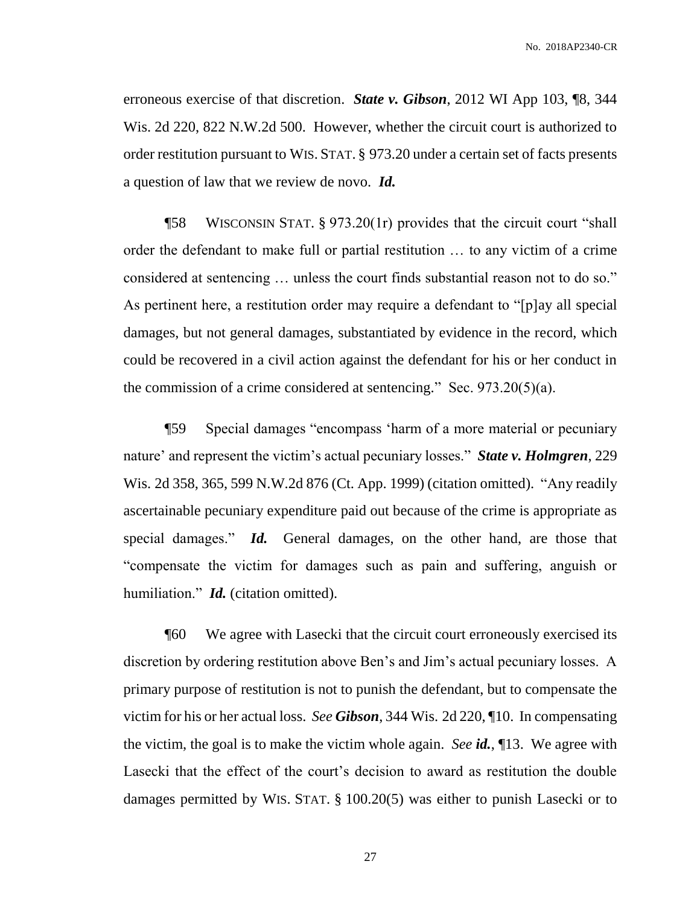erroneous exercise of that discretion. *State v. Gibson*, 2012 WI App 103, ¶8, 344 Wis. 2d 220, 822 N.W.2d 500. However, whether the circuit court is authorized to order restitution pursuant to WIS. STAT. § 973.20 under a certain set of facts presents a question of law that we review de novo. *Id.*

¶58 WISCONSIN STAT. § 973.20(1r) provides that the circuit court "shall order the defendant to make full or partial restitution … to any victim of a crime considered at sentencing … unless the court finds substantial reason not to do so." As pertinent here, a restitution order may require a defendant to "[p]ay all special damages, but not general damages, substantiated by evidence in the record, which could be recovered in a civil action against the defendant for his or her conduct in the commission of a crime considered at sentencing." Sec.  $973.20(5)(a)$ .

¶59 Special damages "encompass 'harm of a more material or pecuniary nature' and represent the victim's actual pecuniary losses." *State v. Holmgren*, 229 Wis. 2d 358, 365, 599 N.W.2d 876 (Ct. App. 1999) (citation omitted). "Any readily ascertainable pecuniary expenditure paid out because of the crime is appropriate as special damages." *Id.* General damages, on the other hand, are those that "compensate the victim for damages such as pain and suffering, anguish or humiliation." *Id.* (citation omitted).

¶60 We agree with Lasecki that the circuit court erroneously exercised its discretion by ordering restitution above Ben's and Jim's actual pecuniary losses. A primary purpose of restitution is not to punish the defendant, but to compensate the victim for his or her actual loss. *See Gibson*, 344 Wis. 2d 220, ¶10. In compensating the victim, the goal is to make the victim whole again. *See id.*, ¶13. We agree with Lasecki that the effect of the court's decision to award as restitution the double damages permitted by WIS. STAT. § 100.20(5) was either to punish Lasecki or to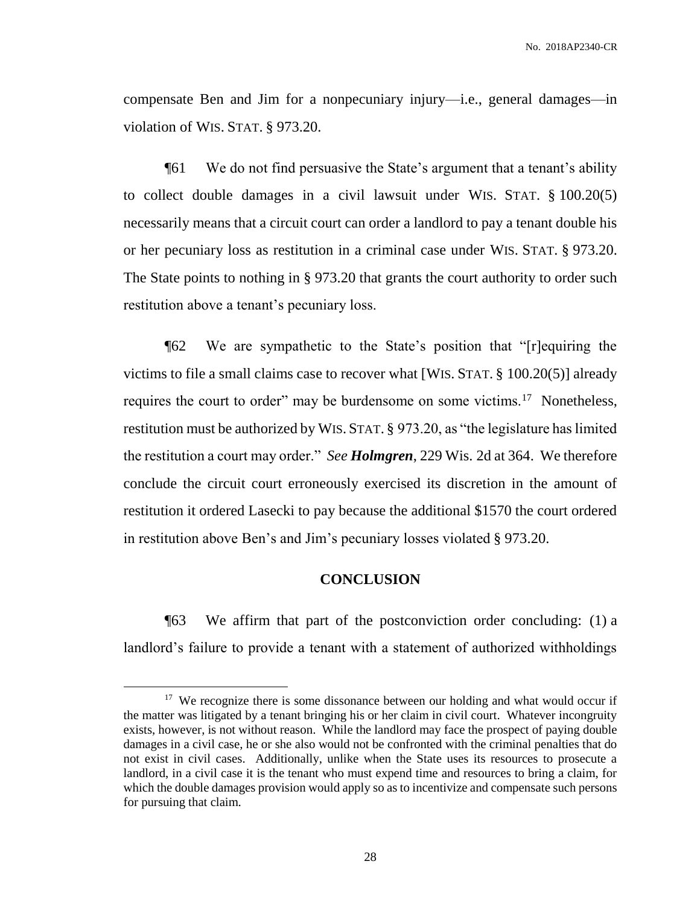compensate Ben and Jim for a nonpecuniary injury—i.e., general damages—in violation of WIS. STAT. § 973.20.

¶61 We do not find persuasive the State's argument that a tenant's ability to collect double damages in a civil lawsuit under WIS. STAT. § 100.20(5) necessarily means that a circuit court can order a landlord to pay a tenant double his or her pecuniary loss as restitution in a criminal case under WIS. STAT. § 973.20. The State points to nothing in § 973.20 that grants the court authority to order such restitution above a tenant's pecuniary loss.

¶62 We are sympathetic to the State's position that "[r]equiring the victims to file a small claims case to recover what [WIS. STAT. § 100.20(5)] already requires the court to order" may be burdensome on some victims.<sup>17</sup> Nonetheless, restitution must be authorized by WIS. STAT. § 973.20, as "the legislature has limited the restitution a court may order." *See Holmgren*, 229 Wis. 2d at 364. We therefore conclude the circuit court erroneously exercised its discretion in the amount of restitution it ordered Lasecki to pay because the additional \$1570 the court ordered in restitution above Ben's and Jim's pecuniary losses violated § 973.20.

#### **CONCLUSION**

¶63 We affirm that part of the postconviction order concluding: (1) a landlord's failure to provide a tenant with a statement of authorized withholdings

<sup>&</sup>lt;sup>17</sup> We recognize there is some dissonance between our holding and what would occur if the matter was litigated by a tenant bringing his or her claim in civil court. Whatever incongruity exists, however, is not without reason. While the landlord may face the prospect of paying double damages in a civil case, he or she also would not be confronted with the criminal penalties that do not exist in civil cases. Additionally, unlike when the State uses its resources to prosecute a landlord, in a civil case it is the tenant who must expend time and resources to bring a claim, for which the double damages provision would apply so as to incentivize and compensate such persons for pursuing that claim.